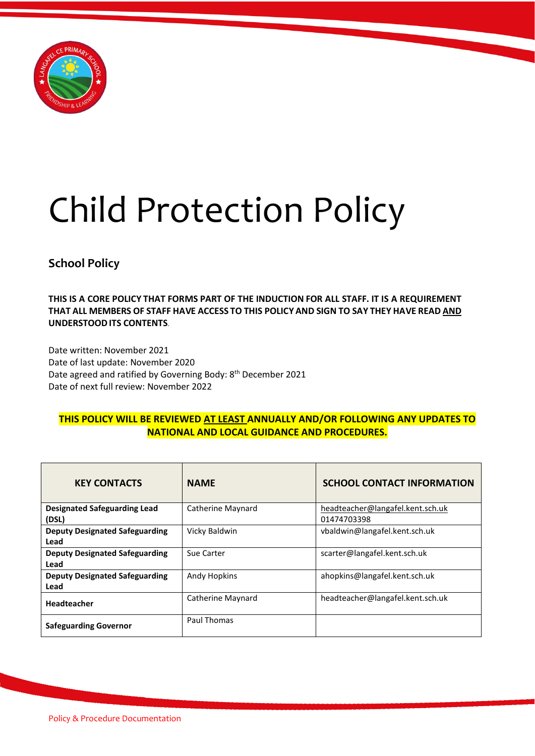

# Child Protection Policy

# **School Policy**

**THIS IS A CORE POLICY THAT FORMS PART OF THE INDUCTION FOR ALL STAFF. IT IS A REQUIREMENT THAT ALL MEMBERS OF STAFF HAVE ACCESS TO THIS POLICY AND SIGN TO SAY THEY HAVE READ AND UNDERSTOODITS CONTENTS**.

Date written: November 2021 Date of last update: November 2020 Date agreed and ratified by Governing Body: 8<sup>th</sup> December 2021 Date of next full review: November 2022

# **THIS POLICY WILL BE REVIEWED AT LEAST ANNUALLY AND/OR FOLLOWING ANY UPDATES TO NATIONAL AND LOCAL GUIDANCE AND PROCEDURES.**

| <b>KEY CONTACTS</b>                           | <b>NAME</b>       | <b>SCHOOL CONTACT INFORMATION</b>               |
|-----------------------------------------------|-------------------|-------------------------------------------------|
| <b>Designated Safeguarding Lead</b><br>(DSL)  | Catherine Maynard | headteacher@langafel.kent.sch.uk<br>01474703398 |
| <b>Deputy Designated Safeguarding</b><br>Lead | Vicky Baldwin     | vbaldwin@langafel.kent.sch.uk                   |
| <b>Deputy Designated Safeguarding</b><br>Lead | Sue Carter        | scarter@langafel.kent.sch.uk                    |
| <b>Deputy Designated Safeguarding</b><br>Lead | Andy Hopkins      | ahopkins@langafel.kent.sch.uk                   |
| <b>Headteacher</b>                            | Catherine Maynard | headteacher@langafel.kent.sch.uk                |
| <b>Safeguarding Governor</b>                  | Paul Thomas       |                                                 |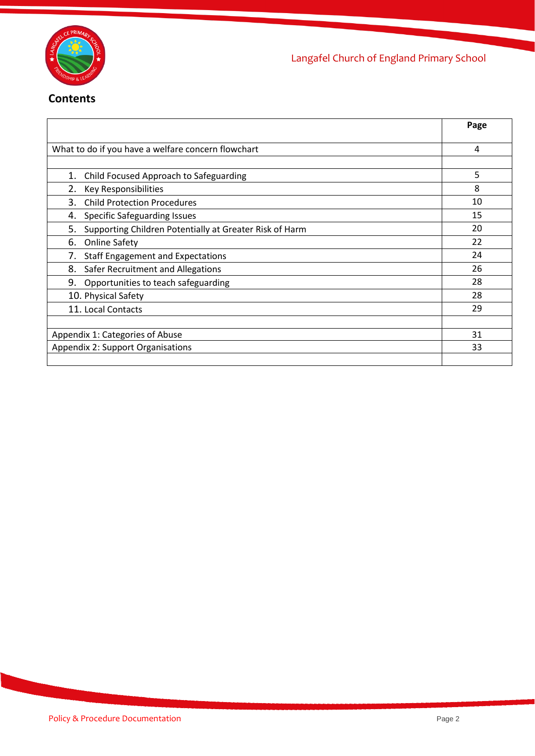

# **Contents**

|                                                               | Page |
|---------------------------------------------------------------|------|
| What to do if you have a welfare concern flowchart            | 4    |
|                                                               |      |
| Child Focused Approach to Safeguarding<br>1.                  | 5    |
| Key Responsibilities<br>2.                                    | 8    |
| <b>Child Protection Procedures</b><br>3.                      | 10   |
| Specific Safeguarding Issues<br>4.                            | 15   |
| Supporting Children Potentially at Greater Risk of Harm<br>5. | 20   |
| <b>Online Safety</b><br>6.                                    | 22   |
| <b>Staff Engagement and Expectations</b><br>7.                | 24   |
| 8.<br>Safer Recruitment and Allegations                       | 26   |
| 9.<br>Opportunities to teach safeguarding                     | 28   |
| 10. Physical Safety                                           | 28   |
| 11. Local Contacts                                            | 29   |
|                                                               |      |
| Appendix 1: Categories of Abuse                               | 31   |
| <b>Appendix 2: Support Organisations</b>                      | 33   |
|                                                               |      |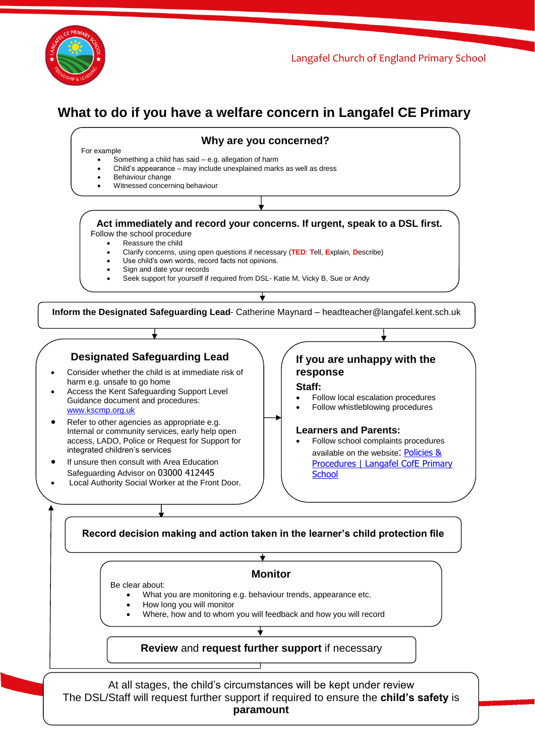

# **What to do if you have a welfare concern in Langafel CE Primary**



Policy & Procedure Documentation Page 3 At all stages, the child's circumstances will be kept under review The DSL/Staff will request further support if required to ensure the **child's safety** is **paramount**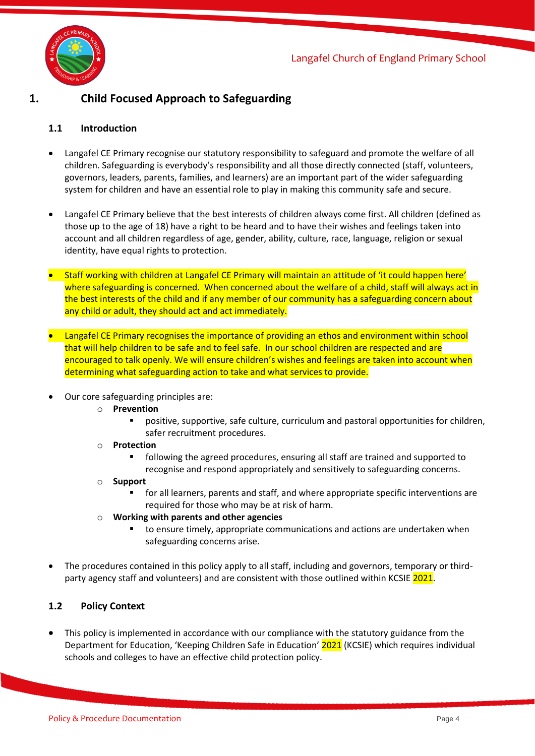

# **1. Child Focused Approach to Safeguarding**

## **1.1 Introduction**

- Langafel CE Primary recognise our statutory responsibility to safeguard and promote the welfare of all children. Safeguarding is everybody's responsibility and all those directly connected (staff, volunteers, governors, leaders, parents, families, and learners) are an important part of the wider safeguarding system for children and have an essential role to play in making this community safe and secure.
- Langafel CE Primary believe that the best interests of children always come first. All children (defined as those up to the age of 18) have a right to be heard and to have their wishes and feelings taken into account and all children regardless of age, gender, ability, culture, race, language, religion or sexual identity, have equal rights to protection.
- Staff working with children at Langafel CE Primary will maintain an attitude of 'it could happen here' where safeguarding is concerned. When concerned about the welfare of a child, staff will always act in the best interests of the child and if any member of our community has a safeguarding concern about any child or adult, they should act and act immediately.
- Langafel CE Primary recognises the importance of providing an ethos and environment within school that will help children to be safe and to feel safe. In our school children are respected and are encouraged to talk openly. We will ensure children's wishes and feelings are taken into account when determining what safeguarding action to take and what services to provide.
- Our core safeguarding principles are:
	- o **Prevention**
		- positive, supportive, safe culture, curriculum and pastoral opportunities for children, safer recruitment procedures.
	- o **Protection**
		- following the agreed procedures, ensuring all staff are trained and supported to recognise and respond appropriately and sensitively to safeguarding concerns.
	- o **Support**
		- for all learners, parents and staff, and where appropriate specific interventions are required for those who may be at risk of harm.
	- o **Working with parents and other agencies**
		- to ensure timely, appropriate communications and actions are undertaken when safeguarding concerns arise.
- The procedures contained in this policy apply to all staff, including and governors, temporary or thirdparty agency staff and volunteers) and are consistent with those outlined within KCSIE 2021.

# **1.2 Policy Context**

This policy is implemented in accordance with our compliance with the statutory guidance from the Department for Education, 'Keeping Children Safe in Education' 2021 (KCSIE) which requires individual schools and colleges to have an effective child protection policy.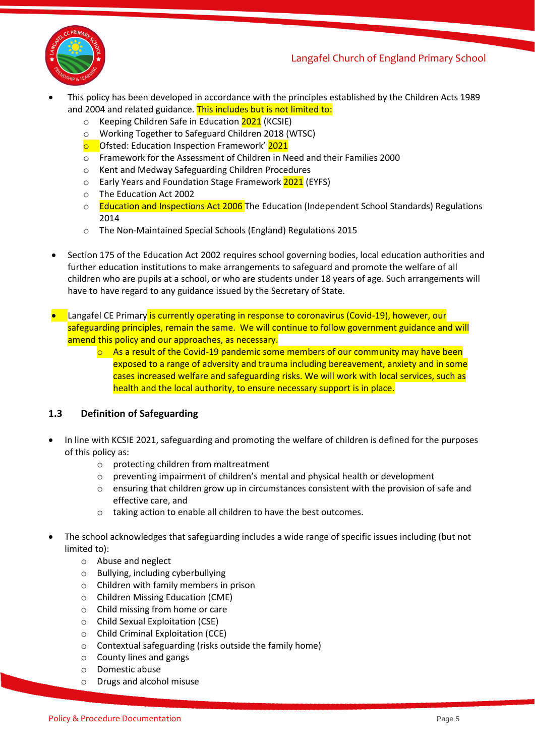

- This policy has been developed in accordance with the principles established by the Children Acts 1989 and 2004 and related guidance. This includes but is not limited to:
	- o Keeping Children Safe in Education 2021 (KCSIE)
	- o Working Together to Safeguard Children 2018 (WTSC)<br> **o** Ofsted: Education Inspection Framework' 2021
	- Ofsted: Education Inspection Framework' 2021
	- o Framework for the Assessment of Children in Need and their Families 2000
	- o Kent and Medway Safeguarding Children Procedures
	- o Early Years and Foundation Stage Framework 2021 (EYFS)
	- o The Education Act 2002
	- o Education and Inspections Act 2006 The Education (Independent School Standards) Regulations 2014
	- o The Non-Maintained Special Schools (England) Regulations 2015
- Section 175 of the Education Act 2002 requires school governing bodies, local education authorities and further education institutions to make arrangements to safeguard and promote the welfare of all children who are pupils at a school, or who are students under 18 years of age. Such arrangements will have to have regard to any guidance issued by the Secretary of State.
- Langafel CE Primary is currently operating in response to coronavirus (Covid-19), however, our safeguarding principles, remain the same. We will continue to follow government guidance and will amend this policy and our approaches, as necessary.
	- $\circ$  As a result of the Covid-19 pandemic some members of our community may have been exposed to a range of adversity and trauma including bereavement, anxiety and in some cases increased welfare and safeguarding risks. We will work with local services, such as health and the local authority, to ensure necessary support is in place.

# **1.3 Definition of Safeguarding**

- In line with KCSIE 2021, safeguarding and promoting the welfare of children is defined for the purposes of this policy as:
	- o protecting children from maltreatment
	- o preventing impairment of children's mental and physical health or development
	- o ensuring that children grow up in circumstances consistent with the provision of safe and effective care, and
	- o taking action to enable all children to have the best outcomes.
- The school acknowledges that safeguarding includes a wide range of specific issues including (but not limited to):
	- o Abuse and neglect
	- o Bullying, including cyberbullying
	- o Children with family members in prison
	- o Children Missing Education (CME)
	- o Child missing from home or care
	- o Child Sexual Exploitation (CSE)
	- o Child Criminal Exploitation (CCE)
	- o Contextual safeguarding (risks outside the family home)
	- o County lines and gangs
	- o Domestic abuse
	- o Drugs and alcohol misuse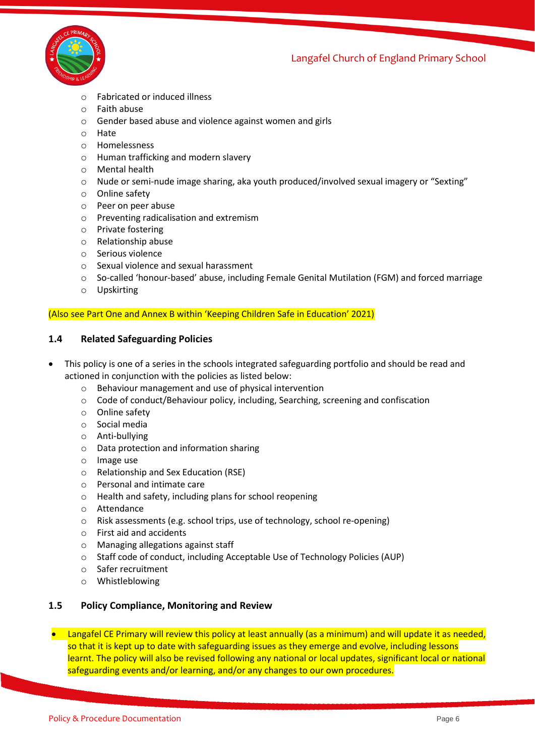

- o Fabricated or induced illness
- o Faith abuse
- o Gender based abuse and violence against women and girls
- o Hate
- o Homelessness
- o Human trafficking and modern slavery
- o Mental health
- o Nude or semi-nude image sharing, aka youth produced/involved sexual imagery or "Sexting"
- o Online safety
- o Peer on peer abuse
- o Preventing radicalisation and extremism
- o Private fostering
- o Relationship abuse
- o Serious violence
- o Sexual violence and sexual harassment
- o So-called 'honour-based' abuse, including Female Genital Mutilation (FGM) and forced marriage
- o Upskirting

#### (Also see Part One and Annex B within 'Keeping Children Safe in Education' 2021)

#### **1.4 Related Safeguarding Policies**

- This policy is one of a series in the schools integrated safeguarding portfolio and should be read and actioned in conjunction with the policies as listed below:
	- o Behaviour management and use of physical intervention
	- o Code of conduct/Behaviour policy, including, Searching, screening and confiscation
	- o Online safety
	- o Social media
	- o Anti-bullying
	- o Data protection and information sharing
	- o Image use
	- o Relationship and Sex Education (RSE)
	- o Personal and intimate care
	- o Health and safety, including plans for school reopening
	- o Attendance
	- o Risk assessments (e.g. school trips, use of technology, school re-opening)
	- o First aid and accidents
	- o Managing allegations against staff
	- o Staff code of conduct, including Acceptable Use of Technology Policies (AUP)
	- o Safer recruitment
	- o Whistleblowing

#### **1.5 Policy Compliance, Monitoring and Review**

• Langafel CE Primary will review this policy at least annually (as a minimum) and will update it as needed, so that it is kept up to date with safeguarding issues as they emerge and evolve, including lessons learnt. The policy will also be revised following any national or local updates, significant local or national safeguarding events and/or learning, and/or any changes to our own procedures.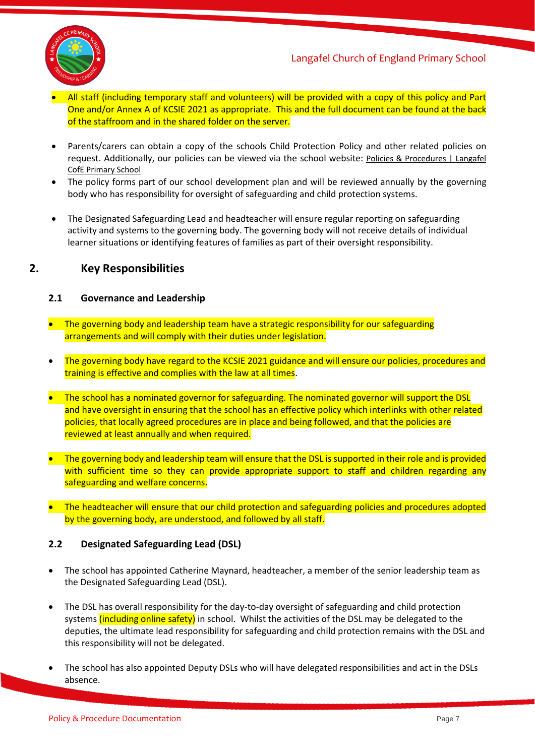

- All staff (including temporary staff and volunteers) will be provided with a copy of this policy and Part One and/or Annex A of KCSIE 2021 as appropriate. This and the full document can be found at the back of the staffroom and in the shared folder on the server.
- Parents/carers can obtain a copy of the schools Child Protection Policy and other related policies on request. Additionally, our policies can be viewed via the school website: Policies & Procedures | Langafel [CofE Primary School](https://www.langafel.kent.sch.uk/policies-procedures)
- The policy forms part of our school development plan and will be reviewed annually by the governing body who has responsibility for oversight of safeguarding and child protection systems.
- The Designated Safeguarding Lead and headteacher will ensure regular reporting on safeguarding activity and systems to the governing body. The governing body will not receive details of individual learner situations or identifying features of families as part of their oversight responsibility.

# **2. Key Responsibilities**

## **2.1 Governance and Leadership**

- The governing body and leadership team have a strategic responsibility for our safeguarding arrangements and will comply with their duties under legislation.
- The governing body have regard to the KCSIE 2021 guidance and will ensure our policies, procedures and training is effective and complies with the law at all times.
- The school has a nominated governor for safeguarding. The nominated governor will support the DSL and have oversight in ensuring that the school has an effective policy which interlinks with other related policies, that locally agreed procedures are in place and being followed, and that the policies are reviewed at least annually and when required.
- The governing body and leadership team will ensure that the DSL is supported in their role and is provided with sufficient time so they can provide appropriate support to staff and children regarding any safeguarding and welfare concerns.
- The headteacher will ensure that our child protection and safeguarding policies and procedures adopted by the governing body, are understood, and followed by all staff.

#### **2.2 Designated Safeguarding Lead (DSL)**

- The school has appointed Catherine Maynard, headteacher, a member of the senior leadership team as the Designated Safeguarding Lead (DSL).
- The DSL has overall responsibility for the day-to-day oversight of safeguarding and child protection systems (including online safety) in school. Whilst the activities of the DSL may be delegated to the deputies, the ultimate lead responsibility for safeguarding and child protection remains with the DSL and this responsibility will not be delegated.
- The school has also appointed Deputy DSLs who will have delegated responsibilities and act in the DSLs absence.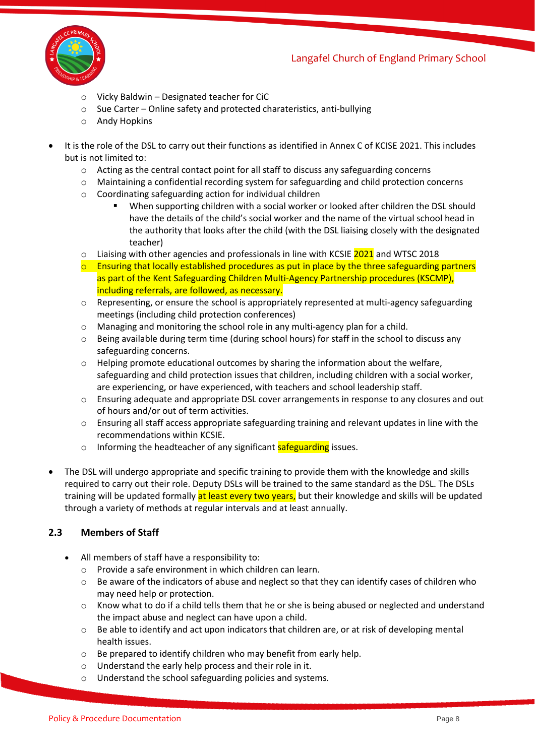

- o Vicky Baldwin Designated teacher for CiC
- o Sue Carter Online safety and protected charateristics, anti-bullying
- o Andy Hopkins
- It is the role of the DSL to carry out their functions as identified in Annex C of KCISE 2021. This includes but is not limited to:
	- o Acting as the central contact point for all staff to discuss any safeguarding concerns
	- o Maintaining a confidential recording system for safeguarding and child protection concerns
	- o Coordinating safeguarding action for individual children
		- When supporting children with a social worker or looked after children the DSL should have the details of the child's social worker and the name of the virtual school head in the authority that looks after the child (with the DSL liaising closely with the designated teacher)
	- $\circ$  Liaising with other agencies and professionals in line with KCSIE 2021 and WTSC 2018
	- $\circ$  Ensuring that locally established procedures as put in place by the three safeguarding partners as part of the Kent Safeguarding Children Multi-Agency Partnership procedures (KSCMP), including referrals, are followed, as necessary.
	- $\circ$  Representing, or ensure the school is appropriately represented at multi-agency safeguarding meetings (including child protection conferences)
	- o Managing and monitoring the school role in any multi-agency plan for a child.
	- o Being available during term time (during school hours) for staff in the school to discuss any safeguarding concerns.
	- $\circ$  Helping promote educational outcomes by sharing the information about the welfare, safeguarding and child protection issues that children, including children with a social worker, are experiencing, or have experienced, with teachers and school leadership staff.
	- o Ensuring adequate and appropriate DSL cover arrangements in response to any closures and out of hours and/or out of term activities.
	- o Ensuring all staff access appropriate safeguarding training and relevant updates in line with the recommendations within KCSIE.
	- o Informing the headteacher of any significant safeguarding issues.
- The DSL will undergo appropriate and specific training to provide them with the knowledge and skills required to carry out their role. Deputy DSLs will be trained to the same standard as the DSL. The DSLs training will be updated formally at least every two years, but their knowledge and skills will be updated through a variety of methods at regular intervals and at least annually.

# **2.3 Members of Staff**

- All members of staff have a responsibility to:
	- o Provide a safe environment in which children can learn.
	- $\circ$  Be aware of the indicators of abuse and neglect so that they can identify cases of children who may need help or protection.
	- $\circ$  Know what to do if a child tells them that he or she is being abused or neglected and understand the impact abuse and neglect can have upon a child.
	- o Be able to identify and act upon indicators that children are, or at risk of developing mental health issues.
	- o Be prepared to identify children who may benefit from early help.
	- o Understand the early help process and their role in it.
	- o Understand the school safeguarding policies and systems.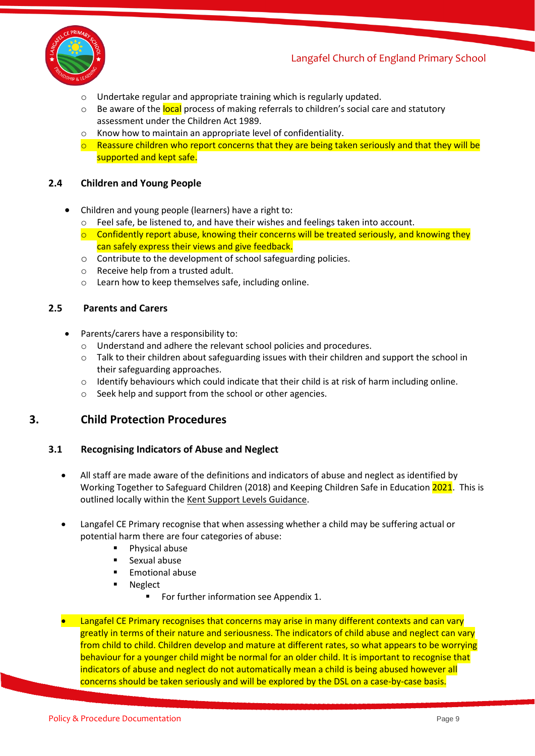

- o Undertake regular and appropriate training which is regularly updated.
- o Be aware of the local process of making referrals to children's social care and statutory assessment under the Children Act 1989.
- o Know how to maintain an appropriate level of confidentiality.
- $\circ$  Reassure children who report concerns that they are being taken seriously and that they will be supported and kept safe.

#### **2.4 Children and Young People**

- Children and young people (learners) have a right to:
	- o Feel safe, be listened to, and have their wishes and feelings taken into account.
	- $\circ$  Confidently report abuse, knowing their concerns will be treated seriously, and knowing they can safely express their views and give feedback.
	- o Contribute to the development of school safeguarding policies.
	- o Receive help from a trusted adult.
	- o Learn how to keep themselves safe, including online.

#### **2.5 Parents and Carers**

- Parents/carers have a responsibility to:
	- o Understand and adhere the relevant school policies and procedures.
	- o Talk to their children about safeguarding issues with their children and support the school in their safeguarding approaches.
	- $\circ$  Identify behaviours which could indicate that their child is at risk of harm including online.
	- o Seek help and support from the school or other agencies.

# **3. Child Protection Procedures**

#### **3.1 Recognising Indicators of Abuse and Neglect**

- All staff are made aware of the definitions and indicators of abuse and neglect as identified by Working Together to Safeguard Children (2018) and Keeping Children Safe in Education 2021. This is outlined locally within the [Kent Support Levels Guidance.](https://www.kscmp.org.uk/guidance/kent-support-levels-guidance)
- Langafel CE Primary recognise that when assessing whether a child may be suffering actual or potential harm there are four categories of abuse:
	- Physical abuse
	- Sexual abuse
	- Emotional abuse
	- Neglect
		- For further information see Appendix 1.
- Langafel CE Primary recognises that concerns may arise in many different contexts and can vary greatly in terms of their nature and seriousness. The indicators of child abuse and neglect can vary from child to child. Children develop and mature at different rates, so what appears to be worrying behaviour for a younger child might be normal for an older child. It is important to recognise that indicators of abuse and neglect do not automatically mean a child is being abused however all concerns should be taken seriously and will be explored by the DSL on a case-by-case basis.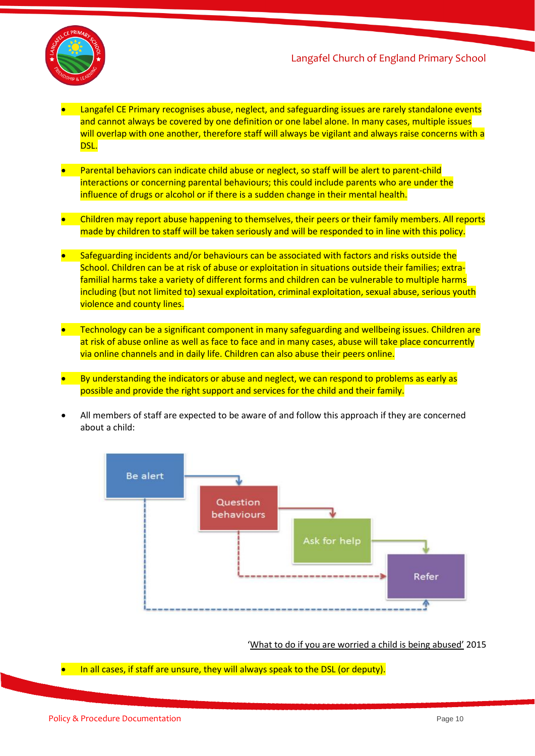

- Langafel CE Primary recognises abuse, neglect, and safeguarding issues are rarely standalone events and cannot always be covered by one definition or one label alone. In many cases, multiple issues will overlap with one another, therefore staff will always be vigilant and always raise concerns with a DSL.
- Parental behaviors can indicate child abuse or neglect, so staff will be alert to parent-child interactions or concerning parental behaviours; this could include parents who are under the influence of drugs or alcohol or if there is a sudden change in their mental health.
- Children may report abuse happening to themselves, their peers or their family members. All reports made by children to staff will be taken seriously and will be responded to in line with this policy.
- Safeguarding incidents and/or behaviours can be associated with factors and risks outside the School. Children can be at risk of abuse or exploitation in situations outside their families; extrafamilial harms take a variety of different forms and children can be vulnerable to multiple harms including (but not limited to) sexual exploitation, criminal exploitation, sexual abuse, serious youth violence and county lines.
- Technology can be a significant component in many safeguarding and wellbeing issues. Children are at risk of abuse online as well as face to face and in many cases, abuse will take place concurrently via online channels and in daily life. Children can also abuse their peers online.
- By understanding the indicators or abuse and neglect, we can respond to problems as early as possible and provide the right support and services for the child and their family.
- All members of staff are expected to be aware of and follow this approach if they are concerned about a child:



#### 'What [to do if you are worried a child is being abused'](https://www.gov.uk/government/publications/what-to-do-if-youre-worried-a-child-is-being-abused--2) 2015

• In all cases, if staff are unsure, they will always speak to the DSL (or deputy).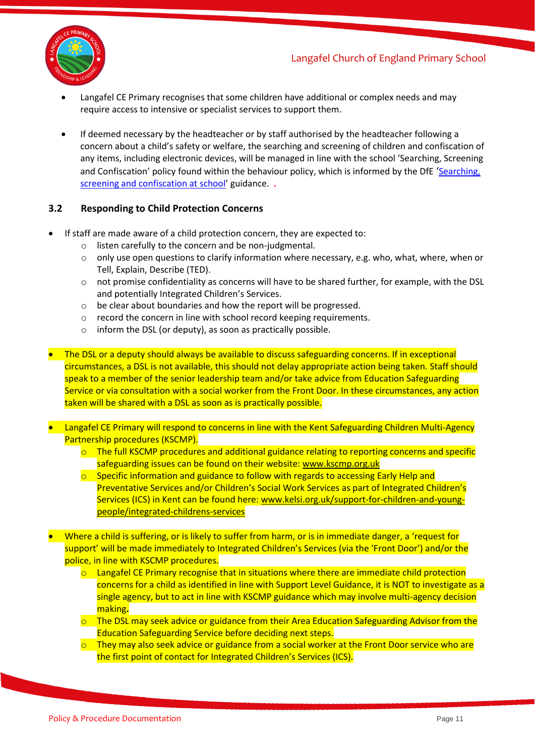

- Langafel CE Primary recognises that some children have additional or complex needs and may require access to intensive or specialist services to support them.
- If deemed necessary by the headteacher or by staff authorised by the headteacher following a concern about a child's safety or welfare, the searching and screening of children and confiscation of any items, including electronic devices, will be managed in line with the school 'Searching, Screening and Confiscation' policy found within the behaviour policy, which is informed by the DfE 'Searching, [screening and confiscation at school](https://www.gov.uk/government/publications/searching-screening-and-confiscation)' guidance. **.**

## **3.2 Responding to Child Protection Concerns**

- If staff are made aware of a child protection concern, they are expected to:
	- o listen carefully to the concern and be non-judgmental.
	- $\circ$  only use open questions to clarify information where necessary, e.g. who, what, where, when or Tell, Explain, Describe (TED).
	- $\circ$  not promise confidentiality as concerns will have to be shared further, for example, with the DSL and potentially Integrated Children's Services.
	- o be clear about boundaries and how the report will be progressed.
	- o record the concern in line with school record keeping requirements.
	- o inform the DSL (or deputy), as soon as practically possible.
- The DSL or a deputy should always be available to discuss safeguarding concerns. If in exceptional circumstances, a DSL is not available, this should not delay appropriate action being taken. Staff should speak to a member of the senior leadership team and/or take advice from Education Safeguarding Service or via consultation with a social worker from the Front Door. In these circumstances, any action taken will be shared with a DSL as soon as is practically possible.
- Langafel CE Primary will respond to concerns in line with the Kent Safeguarding Children Multi-Agency Partnership procedures (KSCMP).
	- $\circ$  The full KSCMP procedures and additional guidance relating to reporting concerns and specific safeguarding issues can be found on their website[: www.kscmp.org.uk](http://www.kscmp.org.uk/)
	- $\circ$  Specific information and guidance to follow with regards to accessing Early Help and Preventative Services and/or Children's Social Work Services as part of Integrated Children's Services (ICS) in Kent can be found here[: www.kelsi.org.uk/support-for-children-and-young](http://www.kelsi.org.uk/support-for-children-and-young-people/integrated-childrens-services)[people/integrated-childrens-services](http://www.kelsi.org.uk/support-for-children-and-young-people/integrated-childrens-services)
- Where a child is suffering, or is likely to suffer from harm, or is in immediate danger, a 'request for support' will be made immediately to Integrated Children's Services (via the 'Front Door') and/or the police, in line with KSCMP procedures.
	- $\circ$  Langafel CE Primary recognise that in situations where there are immediate child protection concerns for a child as identified in line with Support Level Guidance, it is NOT to investigate as a single agency, but to act in line with KSCMP guidance which may involve multi-agency decision making**.**
	- $\circ$  The DSL may seek advice or guidance from their Area Education Safeguarding Advisor from the Education Safeguarding Service before deciding next steps.
	- $\circ$  They may also seek advice or guidance from a social worker at the Front Door service who are the first point of contact for Integrated Children's Services (ICS).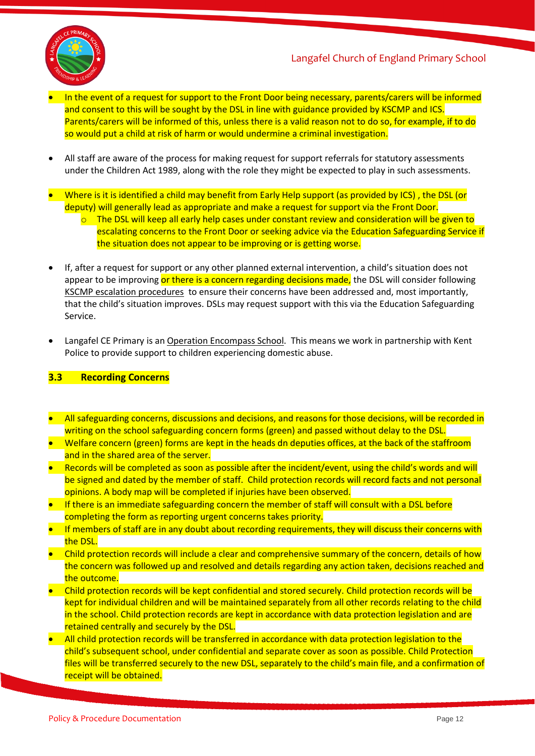

- In the event of a request for support to the Front Door being necessary, parents/carers will be informed and consent to this will be sought by the DSL in line with guidance provided by KSCMP and ICS. Parents/carers will be informed of this, unless there is a valid reason not to do so, for example, if to do so would put a child at risk of harm or would undermine a criminal investigation.
- All staff are aware of the process for making request for support referrals for statutory assessments under the Children Act 1989, along with the role they might be expected to play in such assessments.
- Where is it is identified a child may benefit from Early Help support (as provided by ICS) , the DSL (or deputy) will generally lead as appropriate and make a request for support via the Front Door.
	- $\circ$  The DSL will keep all early help cases under constant review and consideration will be given to escalating concerns to the Front Door or seeking advice via the Education Safeguarding Service if the situation does not appear to be improving or is getting worse.
- If, after a request for support or any other planned external intervention, a child's situation does not appear to be improving or there is a concern regarding decisions made, the DSL will consider following [KSCMP escalation procedures](https://www.proceduresonline.com/kentandmedway/chapters/p_resolution.html) to ensure their concerns have been addressed and, most importantly, that the child's situation improves. DSLs may request support with this via the Education Safeguarding Service.
- Langafel CE Primary is an [Operation Encompass School.](https://www.operationencompass.org/) This means we work in partnership with Kent Police to provide support to children experiencing domestic abuse.

#### **3.3 Recording Concerns**

- All safeguarding concerns, discussions and decisions, and reasons for those decisions, will be recorded in writing on the school safeguarding concern forms (green) and passed without delay to the DSL.
- Welfare concern (green) forms are kept in the heads dn deputies offices, at the back of the staffroom and in the shared area of the server.
- Records will be completed as soon as possible after the incident/event, using the child's words and will be signed and dated by the member of staff. Child protection records will record facts and not personal opinions. A body map will be completed if injuries have been observed.
- If there is an immediate safeguarding concern the member of staff will consult with a DSL before completing the form as reporting urgent concerns takes priority.
- If members of staff are in any doubt about recording requirements, they will discuss their concerns with the DSL.
- Child protection records will include a clear and comprehensive summary of the concern, details of how the concern was followed up and resolved and details regarding any action taken, decisions reached and the outcome.
- Child protection records will be kept confidential and stored securely. Child protection records will be kept for individual children and will be maintained separately from all other records relating to the child in the school. Child protection records are kept in accordance with data protection legislation and are retained centrally and securely by the DSL.
- All child protection records will be transferred in accordance with data protection legislation to the child's subsequent school, under confidential and separate cover as soon as possible. Child Protection files will be transferred securely to the new DSL, separately to the child's main file, and a confirmation of receipt will be obtained.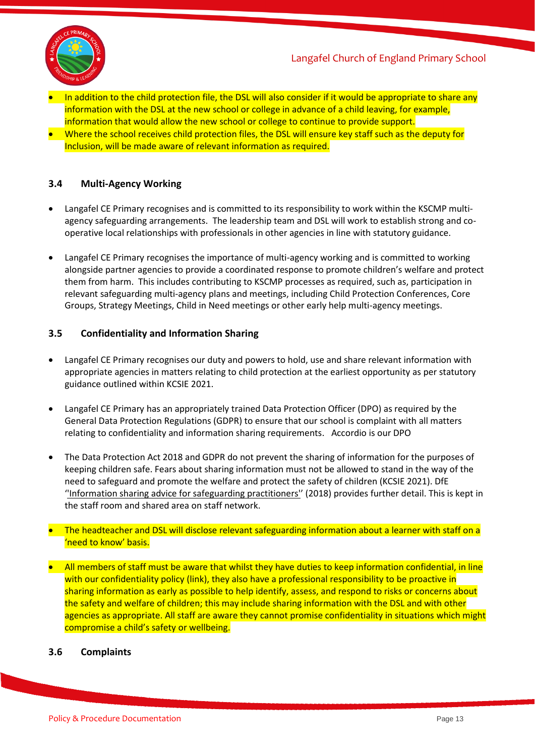

- In addition to the child protection file, the DSL will also consider if it would be appropriate to share any information with the DSL at the new school or college in advance of a child leaving, for example, information that would allow the new school or college to continue to provide support.
- Where the school receives child protection files, the DSL will ensure key staff such as the deputy for Inclusion, will be made aware of relevant information as required.

## **3.4 Multi-Agency Working**

- Langafel CE Primary recognises and is committed to its responsibility to work within the KSCMP multiagency safeguarding arrangements. The leadership team and DSL will work to establish strong and cooperative local relationships with professionals in other agencies in line with statutory guidance.
- Langafel CE Primary recognises the importance of multi-agency working and is committed to working alongside partner agencies to provide a coordinated response to promote children's welfare and protect them from harm. This includes contributing to KSCMP processes as required, such as, participation in relevant safeguarding multi-agency plans and meetings, including Child Protection Conferences, Core Groups, Strategy Meetings, Child in Need meetings or other early help multi-agency meetings.

#### **3.5 Confidentiality and Information Sharing**

- Langafel CE Primary recognises our duty and powers to hold, use and share relevant information with appropriate agencies in matters relating to child protection at the earliest opportunity as per statutory guidance outlined within KCSIE 2021.
- Langafel CE Primary has an appropriately trained Data Protection Officer (DPO) as required by the General Data Protection Regulations (GDPR) to ensure that our school is complaint with all matters relating to confidentiality and information sharing requirements.Accordio is our DPO
- The Data Protection Act 2018 and GDPR do not prevent the sharing of information for the purposes of keeping children safe. Fears about sharing information must not be allowed to stand in the way of the need to safeguard and promote the welfare and protect the safety of children (KCSIE 2021). DfE '['Information sharing advice for safeguarding practitioners'](https://www.gov.uk/government/publications/safeguarding-practitioners-information-sharing-advice)' (2018) provides further detail. This is kept in the staff room and shared area on staff network.
- The headteacher and DSL will disclose relevant safeguarding information about a learner with staff on a 'need to know' basis.
- All members of staff must be aware that whilst they have duties to keep information confidential, in line with our confidentiality policy (link), they also have a professional responsibility to be proactive in sharing information as early as possible to help identify, assess, and respond to risks or concerns about the safety and welfare of children; this may include sharing information with the DSL and with other agencies as appropriate. All staff are aware they cannot promise confidentiality in situations which might compromise a child's safety or wellbeing.

#### **3.6 Complaints**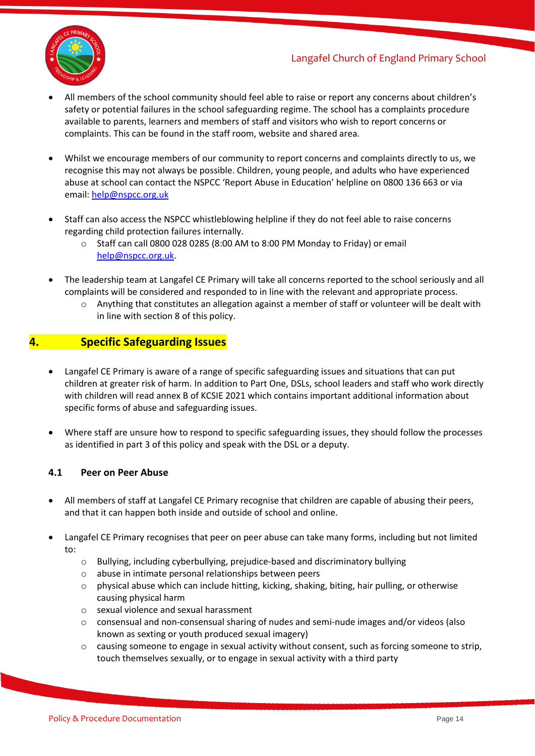



- All members of the school community should feel able to raise or report any concerns about children's safety or potential failures in the school safeguarding regime. The school has a complaints procedure available to parents, learners and members of staff and visitors who wish to report concerns or complaints. This can be found in the staff room, website and shared area.
- Whilst we encourage members of our community to report concerns and complaints directly to us, we recognise this may not always be possible. Children, young people, and adults who have experienced abuse at school can contact the NSPCC 'Report Abuse in Education' helpline on [0800 136 663](tel:0800%20136%20663) or via email: [help@nspcc.org.uk](mailto:help@nspcc.org.uk)
- Staff can also access the NSPCC whistleblowing helpline if they do not feel able to raise concerns regarding child protection failures internally.
	- $\circ$  Staff can call 0800 028 0285 (8:00 AM to 8:00 PM Monday to Friday) or email [help@nspcc.org.uk.](mailto:help@nspcc.org.uk)
- The leadership team at Langafel CE Primary will take all concerns reported to the school seriously and all complaints will be considered and responded to in line with the relevant and appropriate process.
	- $\circ$  Anything that constitutes an allegation against a member of staff or volunteer will be dealt with in line with section 8 of this policy.

# **4. Specific Safeguarding Issues**

- Langafel CE Primary is aware of a range of specific safeguarding issues and situations that can put children at greater risk of harm. In addition to Part One, DSLs, school leaders and staff who work directly with children will read annex B of KCSIE 2021 which contains important additional information about specific forms of abuse and safeguarding issues.
- Where staff are unsure how to respond to specific safeguarding issues, they should follow the processes as identified in part 3 of this policy and speak with the DSL or a deputy.

#### **4.1 Peer on Peer Abuse**

- All members of staff at Langafel CE Primary recognise that children are capable of abusing their peers, and that it can happen both inside and outside of school and online.
- Langafel CE Primary recognises that peer on peer abuse can take many forms, including but not limited to:
	- o Bullying, including cyberbullying, prejudice-based and discriminatory bullying
	- o abuse in intimate personal relationships between peers
	- $\circ$  physical abuse which can include hitting, kicking, shaking, biting, hair pulling, or otherwise causing physical harm
	- o sexual violence and sexual harassment
	- $\circ$  consensual and non-consensual sharing of nudes and semi-nude images and/or videos (also known as sexting or youth produced sexual imagery)
	- $\circ$  causing someone to engage in sexual activity without consent, such as forcing someone to strip, touch themselves sexually, or to engage in sexual activity with a third party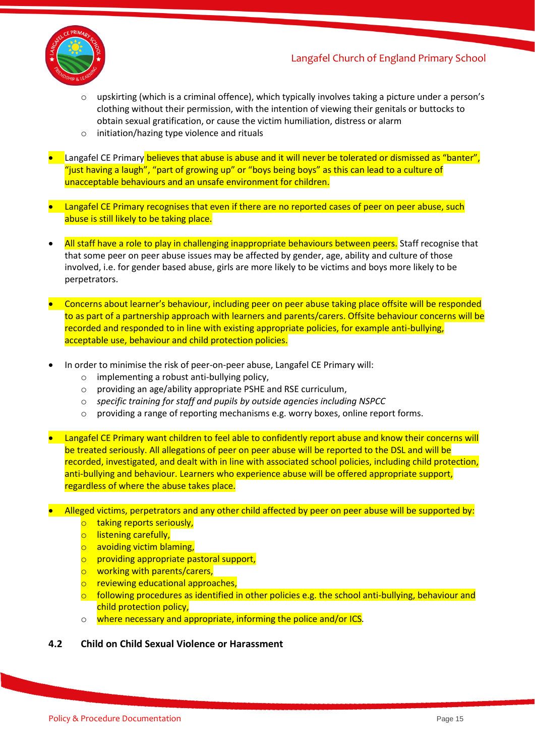

- upskirting (which is a criminal offence), which typically involves taking a picture under a person's clothing without their permission, with the intention of viewing their genitals or buttocks to obtain sexual gratification, or cause the victim humiliation, distress or alarm
- o initiation/hazing type violence and rituals
- Langafel CE Primary believes that abuse is abuse and it will never be tolerated or dismissed as "banter", "just having a laugh", "part of growing up" or "boys being boys" as this can lead to a culture of unacceptable behaviours and an unsafe environment for children.
- Langafel CE Primary recognises that even if there are no reported cases of peer on peer abuse, such abuse is still likely to be taking place.
- All staff have a role to play in challenging inappropriate behaviours between peers. Staff recognise that that some peer on peer abuse issues may be affected by gender, age, ability and culture of those involved, i.e. for gender based abuse, girls are more likely to be victims and boys more likely to be perpetrators.
- Concerns about learner's behaviour, including peer on peer abuse taking place offsite will be responded to as part of a partnership approach with learners and parents/carers. Offsite behaviour concerns will be recorded and responded to in line with existing appropriate policies, for example anti-bullying, acceptable use, behaviour and child protection policies.
- In order to minimise the risk of peer-on-peer abuse, Langafel CE Primary will:
	- o implementing a robust anti-bullying policy,
	- o providing an age/ability appropriate PSHE and RSE curriculum,
	- o *specific training for staff and pupils by outside agencies including NSPCC*
	- $\circ$  providing a range of reporting mechanisms e.g. worry boxes, online report forms.
- Langafel CE Primary want children to feel able to confidently report abuse and know their concerns will be treated seriously. All allegations of peer on peer abuse will be reported to the DSL and will be recorded, investigated, and dealt with in line with associated school policies, including child protection, anti-bullying and behaviour. Learners who experience abuse will be offered appropriate support, regardless of where the abuse takes place.
- Alleged victims, perpetrators and any other child affected by peer on peer abuse will be supported by:
	- o taking reports seriously,
	- o listening carefully,
	- o avoiding victim blaming,
	- o providing appropriate pastoral support,
	- o working with parents/carers,
	- o reviewing educational approaches,
	- $\circ$  following procedures as identified in other policies e.g. the school anti-bullying, behaviour and child protection policy,
	- o where necessary and appropriate, informing the police and/or ICS*.*
- **4.2 Child on Child Sexual Violence or Harassment**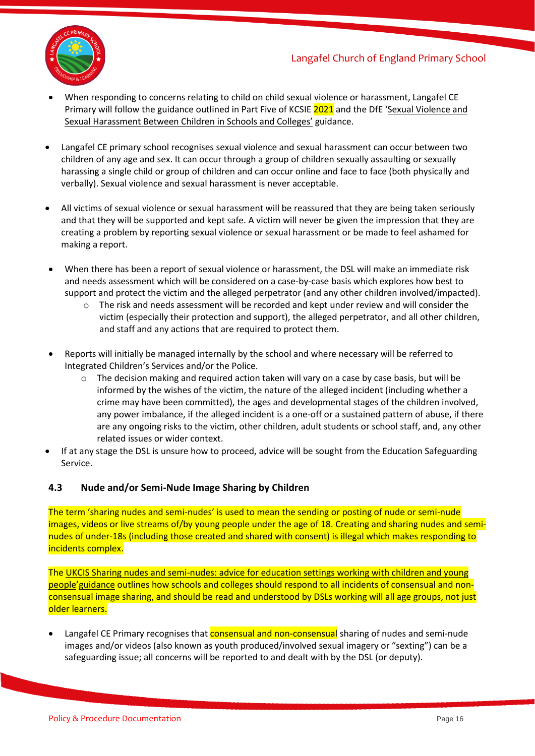

- When responding to concerns relating to child on child sexual violence or harassment, Langafel CE Primary will follow the guidance outlined in Part Five of KCSIE 2021 and the DfE 'Sexual Violence and [Sexual Harassment Between Children in Schools and Colleges'](https://www.gov.uk/government/publications/sexual-violence-and-sexual-harassment-between-children-in-schools-and-colleges) guidance.
- Langafel CE primary school recognises sexual violence and sexual harassment can occur between two children of any age and sex. It can occur through a group of children sexually assaulting or sexually harassing a single child or group of children and can occur online and face to face (both physically and verbally). Sexual violence and sexual harassment is never acceptable.
- All victims of sexual violence or sexual harassment will be reassured that they are being taken seriously and that they will be supported and kept safe. A victim will never be given the impression that they are creating a problem by reporting sexual violence or sexual harassment or be made to feel ashamed for making a report.
- When there has been a report of sexual violence or harassment, the DSL will make an immediate risk and needs assessment which will be considered on a case-by-case basis which explores how best to support and protect the victim and the alleged perpetrator (and any other children involved/impacted).
	- o The risk and needs assessment will be recorded and kept under review and will consider the victim (especially their protection and support), the alleged perpetrator, and all other children, and staff and any actions that are required to protect them.
- Reports will initially be managed internally by the school and where necessary will be referred to Integrated Children's Services and/or the Police.
	- $\circ$  The decision making and required action taken will vary on a case by case basis, but will be informed by the wishes of the victim, the nature of the alleged incident (including whether a crime may have been committed), the ages and developmental stages of the children involved, any power imbalance, if the alleged incident is a one-off or a sustained pattern of abuse, if there are any ongoing risks to the victim, other children, adult students or school staff, and, any other related issues or wider context.
- If at any stage the DSL is unsure how to proceed, advice will be sought from the Education Safeguarding Service.

# **4.3 Nude and/or Semi-Nude Image Sharing by Children**

The term 'sharing nudes and semi-nudes' is used to mean the sending or posting of nude or semi-nude images, videos or live streams of/by young people under the age of 18. Creating and sharing nudes and seminudes of under-18s (including those created and shared with consent) is illegal which makes responding to incidents complex.

The UKCIS [Sharing nudes and semi-nudes: advice for education settings working with children and young](https://www.gov.uk/government/publications/sharing-nudes-and-semi-nudes-advice-for-education-settings-working-with-children-and-young-people)  [people](https://www.gov.uk/government/publications/sharing-nudes-and-semi-nudes-advice-for-education-settings-working-with-children-and-young-people)'guidance outlines how schools and colleges should respond to all incidents of consensual and nonconsensual image sharing, and should be read and understood by DSLs working will all age groups, not just older learners.

Langafel CE Primary recognises that **consensual and non-consensual** sharing of nudes and semi-nude images and/or videos (also known as youth produced/involved sexual imagery or "sexting") can be a safeguarding issue; all concerns will be reported to and dealt with by the DSL (or deputy).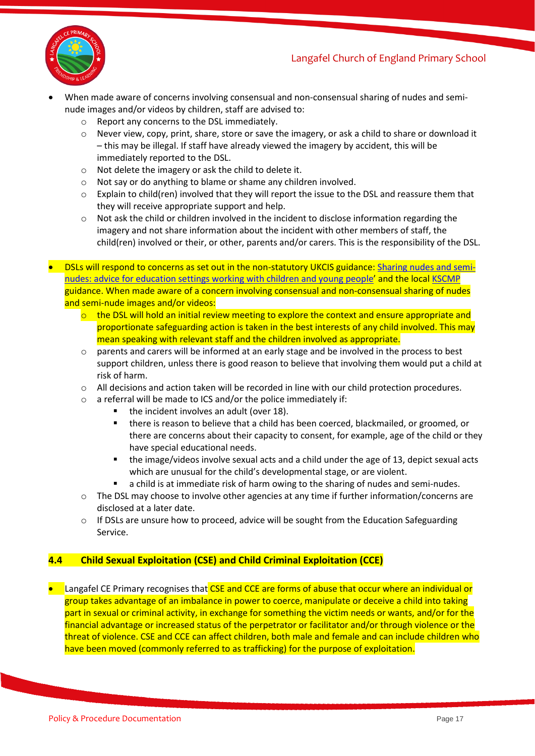

- When made aware of concerns involving consensual and non-consensual sharing of nudes and seminude images and/or videos by children, staff are advised to:
	- o Report any concerns to the DSL immediately.
	- o Never view, copy, print, share, store or save the imagery, or ask a child to share or download it – this may be illegal. If staff have already viewed the imagery by accident, this will be immediately reported to the DSL.
	- o Not delete the imagery or ask the child to delete it.
	- o Not say or do anything to blame or shame any children involved.
	- o Explain to child(ren) involved that they will report the issue to the DSL and reassure them that they will receive appropriate support and help.
	- $\circ$  Not ask the child or children involved in the incident to disclose information regarding the imagery and not share information about the incident with other members of staff, the child(ren) involved or their, or other, parents and/or carers. This is the responsibility of the DSL.
- DSLs will respond to concerns as set out in the non-statutory UKCIS guidance: [Sharing nudes and semi](https://www.gov.uk/government/publications/sharing-nudes-and-semi-nudes-advice-for-education-settings-working-with-children-and-young-people)[nudes: advice for education settings working with children and young](https://www.gov.uk/government/publications/sharing-nudes-and-semi-nudes-advice-for-education-settings-working-with-children-and-young-people) people' and the local [KSCMP](http://www.kscb.org.uk/guidance/online-safety) guidance. When made aware of a concern involving consensual and non-consensual sharing of nudes and semi-nude images and/or videos:
	- $\circ$  the DSL will hold an initial review meeting to explore the context and ensure appropriate and proportionate safeguarding action is taken in the best interests of any child involved. This may mean speaking with relevant staff and the children involved as appropriate.
	- $\circ$  parents and carers will be informed at an early stage and be involved in the process to best support children, unless there is good reason to believe that involving them would put a child at risk of harm.
	- o All decisions and action taken will be recorded in line with our child protection procedures.
	- o a referral will be made to ICS and/or the police immediately if:
		- the incident involves an adult (over 18).
		- there is reason to believe that a child has been coerced, blackmailed, or groomed, or there are concerns about their capacity to consent, for example, age of the child or they have special educational needs.
		- the image/videos involve sexual acts and a child under the age of 13, depict sexual acts which are unusual for the child's developmental stage, or are violent.
		- a child is at immediate risk of harm owing to the sharing of nudes and semi-nudes.
	- $\circ$  The DSL may choose to involve other agencies at any time if further information/concerns are disclosed at a later date.
	- $\circ$  If DSLs are unsure how to proceed, advice will be sought from the Education Safeguarding Service.

# **4.4 Child Sexual Exploitation (CSE) and Child Criminal Exploitation (CCE)**

**• Langafel CE Primary recognises that CSE and CCE are forms of abuse that occur where an individual or** group takes advantage of an imbalance in power to coerce, manipulate or deceive a child into taking part in sexual or criminal activity, in exchange for something the victim needs or wants, and/or for the financial advantage or increased status of the perpetrator or facilitator and/or through violence or the threat of violence. CSE and CCE can affect children, both male and female and can include children who have been moved (commonly referred to as trafficking) for the purpose of exploitation.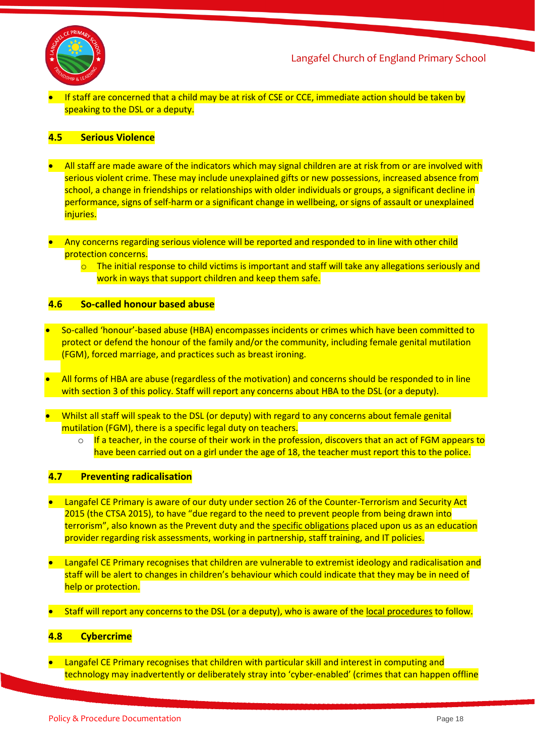

• If staff are concerned that a child may be at risk of CSE or CCE, immediate action should be taken by speaking to the DSL or a deputy.

#### **4.5 Serious Violence**

- All staff are made aware of the indicators which may signal children are at risk from or are involved with serious violent crime. These may include unexplained gifts or new possessions, increased absence from school, a change in friendships or relationships with older individuals or groups, a significant decline in performance, signs of self-harm or a significant change in wellbeing, or signs of assault or unexplained injuries.
- Any concerns regarding serious violence will be reported and responded to in line with other child protection concerns.
	- $\circ$  The initial response to child victims is important and staff will take any allegations seriously and work in ways that support children and keep them safe.

#### **4.6 So-called honour based abuse**

- So-called 'honour'-based abuse (HBA) encompasses incidents or crimes which have been committed to protect or defend the honour of the family and/or the community, including female genital mutilation (FGM), forced marriage, and practices such as breast ironing.
- All forms of HBA are abuse (regardless of the motivation) and concerns should be responded to in line with section 3 of this policy. Staff will report any concerns about HBA to the DSL (or a deputy).
- Whilst all staff will speak to the DSL (or deputy) with regard to any concerns about female genital mutilation (FGM), there is a specific legal duty on teachers.
	- $\circ$  If a teacher, in the course of their work in the profession, discovers that an act of FGM appears to have been carried out on a girl under the age of 18, the teacher must report this to the police.

#### **4.7 Preventing radicalisation**

- Langafel CE Primary is aware of our duty under section 26 of the Counter-Terrorism and Security Act 2015 (the CTSA 2015), to have "due regard to the need to prevent people from being drawn into terrorism", also known as the Prevent duty and the [specific obligations](https://www.gov.uk/government/publications/prevent-duty-guidance/prevent-duty-guidance-for-further-education-institutions-in-england-and-wales) placed upon us as an education provider regarding risk assessments, working in partnership, staff training, and IT policies.
- Langafel CE Primary recognises that children are vulnerable to extremist ideology and radicalisation and staff will be alert to changes in children's behaviour which could indicate that they may be in need of help or protection.
- Staff will report any concerns to the DSL (or a deputy), who is aware of the [local procedures](https://www.kelsi.org.uk/child-protection-and-safeguarding/prevent-within-schools) to follow.

#### **4.8 Cybercrime**

• Langafel CE Primary recognises that children with particular skill and interest in computing and technology may inadvertently or deliberately stray into 'cyber-enabled' (crimes that can happen offline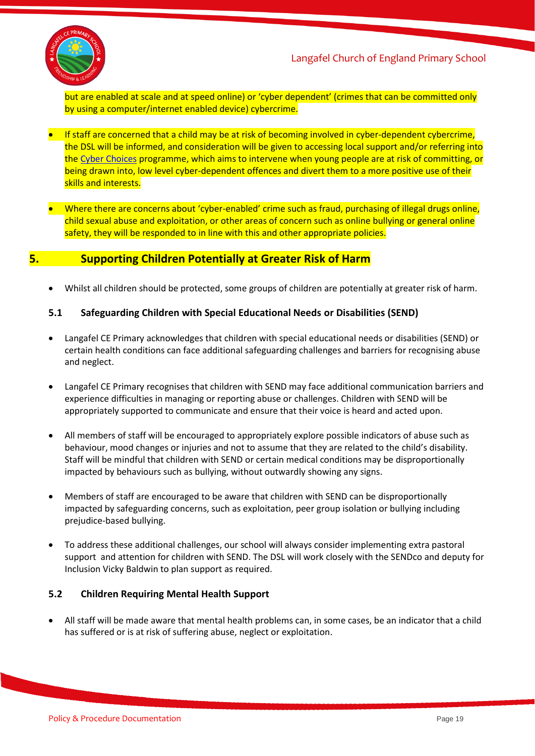

but are enabled at scale and at speed online) or 'cyber dependent' (crimes that can be committed only by using a computer/internet enabled device) cybercrime.

- If staff are concerned that a child may be at risk of becoming involved in cyber-dependent cybercrime, the DSL will be informed, and consideration will be given to accessing local support and/or referring into th[e Cyber Choices](http://www.cyberchoices.uk/) programme, which aims to intervene when young people are at risk of committing, or being drawn into, low level cyber-dependent offences and divert them to a more positive use of their skills and interests.
- Where there are concerns about 'cyber-enabled' crime such as fraud, purchasing of illegal drugs online, child sexual abuse and exploitation, or other areas of concern such as online bullying or general online safety, they will be responded to in line with this and other appropriate policies.

# **5. Supporting Children Potentially at Greater Risk of Harm**

• Whilst all children should be protected, some groups of children are potentially at greater risk of harm.

#### **5.1 Safeguarding Children with Special Educational Needs or Disabilities (SEND)**

- Langafel CE Primary acknowledges that children with special educational needs or disabilities (SEND) or certain health conditions can face additional safeguarding challenges and barriers for recognising abuse and neglect.
- Langafel CE Primary recognises that children with SEND may face additional communication barriers and experience difficulties in managing or reporting abuse or challenges. Children with SEND will be appropriately supported to communicate and ensure that their voice is heard and acted upon.
- All members of staff will be encouraged to appropriately explore possible indicators of abuse such as behaviour, mood changes or injuries and not to assume that they are related to the child's disability. Staff will be mindful that children with SEND or certain medical conditions may be disproportionally impacted by behaviours such as bullying, without outwardly showing any signs.
- Members of staff are encouraged to be aware that children with SEND can be disproportionally impacted by safeguarding concerns, such as exploitation, peer group isolation or bullying including prejudice-based bullying.
- To address these additional challenges, our school will always consider implementing extra pastoral support and attention for children with SEND. The DSL will work closely with the SENDco and deputy for Inclusion Vicky Baldwin to plan support as required.

#### **5.2 Children Requiring Mental Health Support**

• All staff will be made aware that mental health problems can, in some cases, be an indicator that a child has suffered or is at risk of suffering abuse, neglect or exploitation.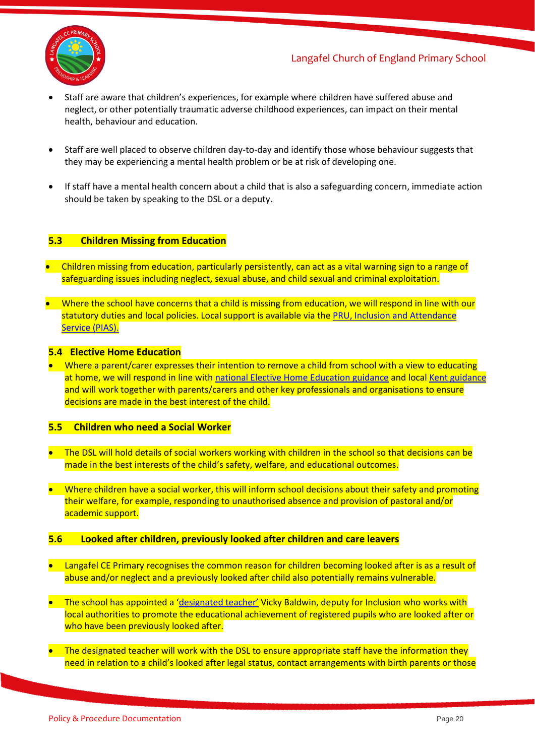

- Staff are aware that children's experiences, for example where children have suffered abuse and neglect, or other potentially traumatic adverse childhood experiences, can impact on their mental health, behaviour and education.
- Staff are well placed to observe children day-to-day and identify those whose behaviour suggests that they may be experiencing a mental health problem or be at risk of developing one.
- If staff have a mental health concern about a child that is also a safeguarding concern, immediate action should be taken by speaking to the DSL or a deputy.

#### **5.3 Children Missing from Education**

- Children missing from education, particularly persistently, can act as a vital warning sign to a range of safeguarding issues including neglect, sexual abuse, and child sexual and criminal exploitation.
- Where the school have concerns that a child is missing from education, we will respond in line with our statutory duties and local policies. Local support is available via th[e PRU, Inclusion and Attendance](https://www.kelsi.org.uk/pru-inclusion-and-attendance-service-pias)  [Service \(PIAS\).](https://www.kelsi.org.uk/pru-inclusion-and-attendance-service-pias)

#### **5.4 Elective Home Education**

• Where a parent/carer expresses their intention to remove a child from school with a view to educating at home, we will respond in line wit[h national Elective Home Education guidance](https://www.gov.uk/government/publications/elective-home-education) and loca[l Kent guidance](https://www.kent.gov.uk/education-and-children/educating-your-child-at-home) and will work together with parents/carers and other key professionals and organisations to ensure decisions are made in the best interest of the child.

#### **5.5 Children who need a Social Worker**

- The DSL will hold details of social workers working with children in the school so that decisions can be made in the best interests of the child's safety, welfare, and educational outcomes.
- Where children have a social worker, this will inform school decisions about their safety and promoting their welfare, for example, responding to unauthorised absence and provision of pastoral and/or academic support.

#### **5.6 Looked after children, previously looked after children and care leavers**

- Langafel CE Primary recognises the common reason for children becoming looked after is as a result of abuse and/or neglect and a previously looked after child also potentially remains vulnerable.
- The school has appointed a ['designated teacher'](https://www.gov.uk/government/publications/designated-teacher-for-looked-after-children) Vicky Baldwin, deputy for Inclusion who works with local authorities to promote the educational achievement of registered pupils who are looked after or who have been previously looked after.
- The designated teacher will work with the DSL to ensure appropriate staff have the information they need in relation to a child's looked after legal status, contact arrangements with birth parents or those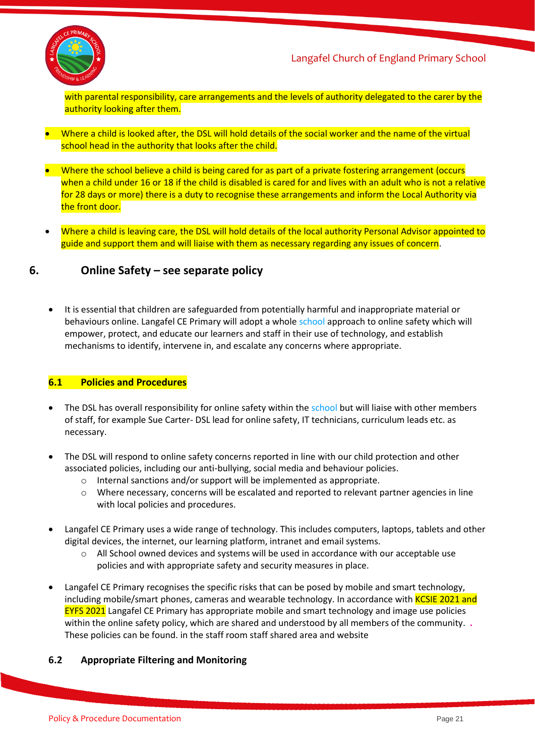

with parental responsibility, care arrangements and the levels of authority delegated to the carer by the authority looking after them.

- Where a child is looked after, the DSL will hold details of the social worker and the name of the virtual school head in the authority that looks after the child.
- Where the school believe a child is being cared for as part of a private fostering arrangement (occurs when a child under 16 or 18 if the child is disabled is cared for and lives with an adult who is not a relative for 28 days or more) there is a duty to recognise these arrangements and inform the Local Authority via the front door.
- Where a child is leaving care, the DSL will hold details of the local authority Personal Advisor appointed to guide and support them and will liaise with them as necessary regarding any issues of concern.

# **6. Online Safety – see separate policy**

• It is essential that children are safeguarded from potentially harmful and inappropriate material or behaviours online. Langafel CE Primary will adopt a whole school approach to online safety which will empower, protect, and educate our learners and staff in their use of technology, and establish mechanisms to identify, intervene in, and escalate any concerns where appropriate.

#### **6.1 Policies and Procedures**

- The DSL has overall responsibility for online safety within the school but will liaise with other members of staff, for example Sue Carter- DSL lead for online safety, IT technicians, curriculum leads etc. as necessary.
- The DSL will respond to online safety concerns reported in line with our child protection and other associated policies, including our anti-bullying, social media and behaviour policies.
	- o Internal sanctions and/or support will be implemented as appropriate.
	- $\circ$  Where necessary, concerns will be escalated and reported to relevant partner agencies in line with local policies and procedures.
- Langafel CE Primary uses a wide range of technology. This includes computers, laptops, tablets and other digital devices, the internet, our learning platform, intranet and email systems.
	- $\circ$  All School owned devices and systems will be used in accordance with our acceptable use policies and with appropriate safety and security measures in place.
- Langafel CE Primary recognises the specific risks that can be posed by mobile and smart technology, including mobile/smart phones, cameras and wearable technology. In accordance with **KCSIE 2021 and** EYFS 2021 Langafel CE Primary has appropriate mobile and smart technology and image use policies within the online safety policy, which are shared and understood by all members of the community. **.** These policies can be found. in the staff room staff shared area and website

#### **6.2 Appropriate Filtering and Monitoring**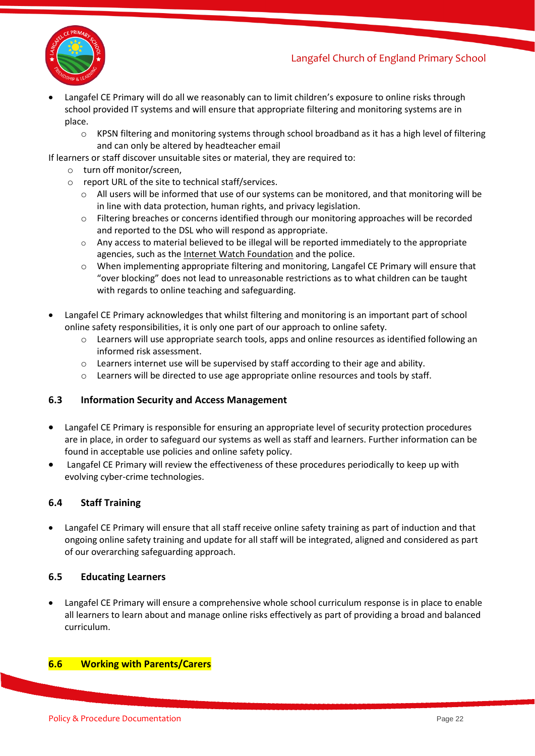

- Langafel CE Primary will do all we reasonably can to limit children's exposure to online risks through school provided IT systems and will ensure that appropriate filtering and monitoring systems are in place.
	- $\circ$  KPSN filtering and monitoring systems through school broadband as it has a high level of filtering and can only be altered by headteacher email
- If learners or staff discover unsuitable sites or material, they are required to:
	- o turn off monitor/screen,
	- o report URL of the site to technical staff/services.
		- o All users will be informed that use of our systems can be monitored, and that monitoring will be in line with data protection, human rights, and privacy legislation.
		- o Filtering breaches or concerns identified through our monitoring approaches will be recorded and reported to the DSL who will respond as appropriate.
		- $\circ$  Any access to material believed to be illegal will be reported immediately to the appropriate agencies, such as the [Internet Watch Foundation](https://www.iwf.org.uk/) and the police.
		- o When implementing appropriate filtering and monitoring, Langafel CE Primary will ensure that "over blocking" does not lead to unreasonable restrictions as to what children can be taught with regards to online teaching and safeguarding.
- Langafel CE Primary acknowledges that whilst filtering and monitoring is an important part of school online safety responsibilities, it is only one part of our approach to online safety.
	- o Learners will use appropriate search tools, apps and online resources as identified following an informed risk assessment.
	- o Learners internet use will be supervised by staff according to their age and ability.
	- $\circ$  Learners will be directed to use age appropriate online resources and tools by staff.

#### **6.3 Information Security and Access Management**

- Langafel CE Primary is responsible for ensuring an appropriate level of security protection procedures are in place, in order to safeguard our systems as well as staff and learners. Further information can be found in acceptable use policies and online safety policy.
- Langafel CE Primary will review the effectiveness of these procedures periodically to keep up with evolving cyber-crime technologies.

#### **6.4 Staff Training**

• Langafel CE Primary will ensure that all staff receive online safety training as part of induction and that ongoing online safety training and update for all staff will be integrated, aligned and considered as part of our overarching safeguarding approach.

#### **6.5 Educating Learners**

• Langafel CE Primary will ensure a comprehensive whole school curriculum response is in place to enable all learners to learn about and manage online risks effectively as part of providing a broad and balanced curriculum.

#### **6.6 Working with Parents/Carers**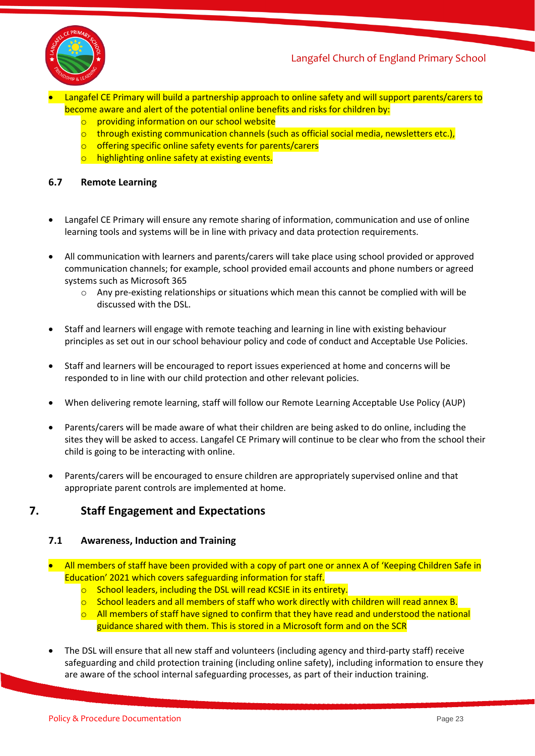

- Langafel CE Primary will build a partnership approach to online safety and will support parents/carers to become aware and alert of the potential online benefits and risks for children by:
	- o providing information on our school website
	- $\circ$  through existing communication channels (such as official social media, newsletters etc.),
	- o offering specific online safety events for parents/carers
	- o highlighting online safety at existing events.

#### **6.7 Remote Learning**

- Langafel CE Primary will ensure any remote sharing of information, communication and use of online learning tools and systems will be in line with privacy and data protection requirements.
- All communication with learners and parents/carers will take place using school provided or approved communication channels; for example, school provided email accounts and phone numbers or agreed systems such as Microsoft 365
	- $\circ$  Any pre-existing relationships or situations which mean this cannot be complied with will be discussed with the DSL.
- Staff and learners will engage with remote teaching and learning in line with existing behaviour principles as set out in our school behaviour policy and code of conduct and Acceptable Use Policies.
- Staff and learners will be encouraged to report issues experienced at home and concerns will be responded to in line with our child protection and other relevant policies.
- When delivering remote learning, staff will follow our Remote Learning Acceptable Use Policy (AUP)
- Parents/carers will be made aware of what their children are being asked to do online, including the sites they will be asked to access. Langafel CE Primary will continue to be clear who from the school their child is going to be interacting with online.
- Parents/carers will be encouraged to ensure children are appropriately supervised online and that appropriate parent controls are implemented at home.

# **7. Staff Engagement and Expectations**

#### **7.1 Awareness, Induction and Training**

- All members of staff have been provided with a copy of part one or annex A of 'Keeping Children Safe in Education' 2021 which covers safeguarding information for staff.
	- o School leaders, including the DSL will read KCSIE in its entirety.
	- $\circ$  School leaders and all members of staff who work directly with children will read annex B.
	- $\circ$  All members of staff have signed to confirm that they have read and understood the national guidance shared with them. This is stored in a Microsoft form and on the SCR
- The DSL will ensure that all new staff and volunteers (including agency and third-party staff) receive safeguarding and child protection training (including online safety), including information to ensure they are aware of the school internal safeguarding processes, as part of their induction training.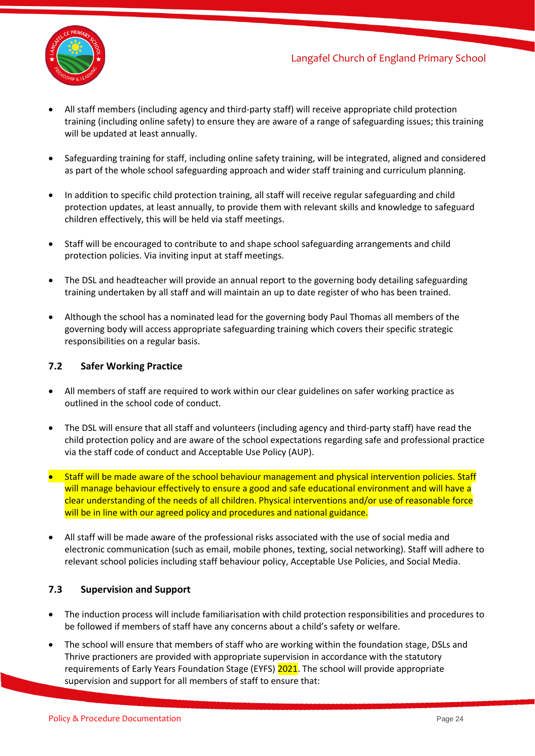

- All staff members (including agency and third-party staff) will receive appropriate child protection training (including online safety) to ensure they are aware of a range of safeguarding issues; this training will be updated at least annually.
- Safeguarding training for staff, including online safety training, will be integrated, aligned and considered as part of the whole school safeguarding approach and wider staff training and curriculum planning.
- In addition to specific child protection training, all staff will receive regular safeguarding and child protection updates, at least annually, to provide them with relevant skills and knowledge to safeguard children effectively, this will be held via staff meetings.
- Staff will be encouraged to contribute to and shape school safeguarding arrangements and child protection policies. Via inviting input at staff meetings.
- The DSL and headteacher will provide an annual report to the governing body detailing safeguarding training undertaken by all staff and will maintain an up to date register of who has been trained.
- Although the school has a nominated lead for the governing body Paul Thomas all members of the governing body will access appropriate safeguarding training which covers their specific strategic responsibilities on a regular basis.

#### **7.2 Safer Working Practice**

- All members of staff are required to work within our clear guidelines on safer working practice as outlined in the school code of conduct.
- The DSL will ensure that all staff and volunteers (including agency and third-party staff) have read the child protection policy and are aware of the school expectations regarding safe and professional practice via the staff code of conduct and Acceptable Use Policy (AUP).
- Staff will be made aware of the school behaviour management and physical intervention policies. Staff will manage behaviour effectively to ensure a good and safe educational environment and will have a clear understanding of the needs of all children. Physical interventions and/or use of reasonable force will be in line with our agreed policy and procedures and national guidance.
- All staff will be made aware of the professional risks associated with the use of social media and electronic communication (such as email, mobile phones, texting, social networking). Staff will adhere to relevant school policies including staff behaviour policy, Acceptable Use Policies, and Social Media.

# **7.3 Supervision and Support**

- The induction process will include familiarisation with child protection responsibilities and procedures to be followed if members of staff have any concerns about a child's safety or welfare.
- The school will ensure that members of staff who are working within the foundation stage, DSLs and Thrive practioners are provided with appropriate supervision in accordance with the statutory requirements of Early Years Foundation Stage (EYFS) 2021. The school will provide appropriate supervision and support for all members of staff to ensure that: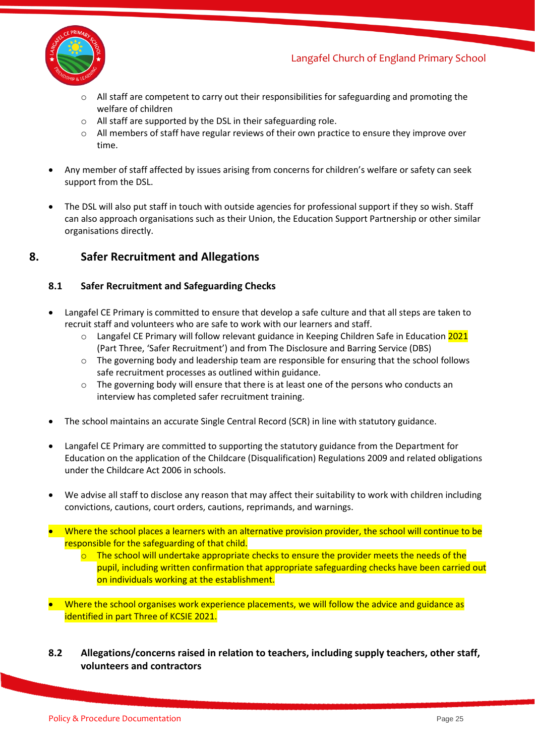

- $\circ$  All staff are competent to carry out their responsibilities for safeguarding and promoting the welfare of children
- o All staff are supported by the DSL in their safeguarding role.
- $\circ$  All members of staff have regular reviews of their own practice to ensure they improve over time.
- Any member of staff affected by issues arising from concerns for children's welfare or safety can seek support from the DSL.
- The DSL will also put staff in touch with outside agencies for professional support if they so wish. Staff can also approach organisations such as their Union, the Education Support Partnership or other similar organisations directly.

# **8. Safer Recruitment and Allegations**

#### **8.1 Safer Recruitment and Safeguarding Checks**

- Langafel CE Primary is committed to ensure that develop a safe culture and that all steps are taken to recruit staff and volunteers who are safe to work with our learners and staff.
	- o Langafel CE Primary will follow relevant guidance in Keeping Children Safe in Education 2021 (Part Three, 'Safer Recruitment') and from The Disclosure and Barring Service (DBS)
	- $\circ$  The governing body and leadership team are responsible for ensuring that the school follows safe recruitment processes as outlined within guidance.
	- $\circ$  The governing body will ensure that there is at least one of the persons who conducts an interview has completed safer recruitment training.
- The school maintains an accurate Single Central Record (SCR) in line with statutory guidance.
- Langafel CE Primary are committed to supporting the statutory guidance from the Department for Education on the application of the Childcare (Disqualification) Regulations 2009 and related obligations under the Childcare Act 2006 in schools.
- We advise all staff to disclose any reason that may affect their suitability to work with children including convictions, cautions, court orders, cautions, reprimands, and warnings.
- Where the school places a learners with an alternative provision provider, the school will continue to be responsible for the safeguarding of that child.
	- $\circ$  The school will undertake appropriate checks to ensure the provider meets the needs of the pupil, including written confirmation that appropriate safeguarding checks have been carried out on individuals working at the establishment.
- Where the school organises work experience placements, we will follow the advice and guidance as identified in part Three of KCSIE 2021.
- **8.2 Allegations/concerns raised in relation to teachers, including supply teachers, other staff, volunteers and contractors**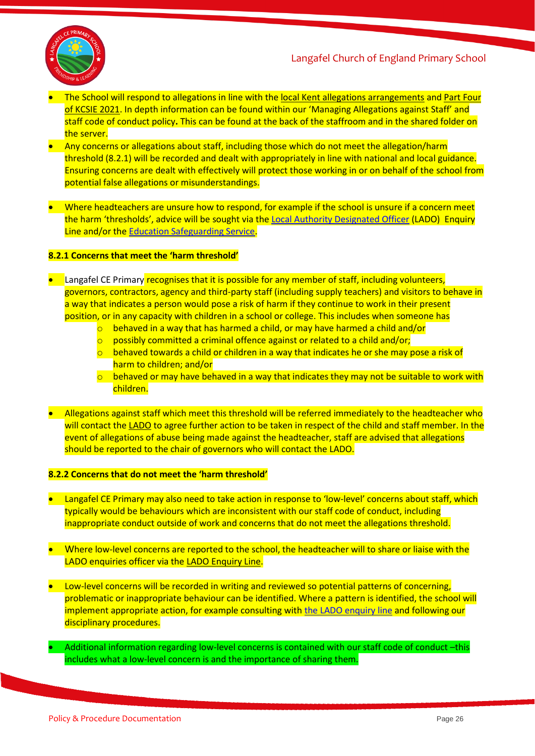



- The School will respond to allegations in line with th[e local Kent allegations arrangements](https://www.kscmp.org.uk/procedures/local-authority-designated-officer-lado) and [Part Four](https://www.gov.uk/government/publications/keeping-children-safe-in-education--2)  [of KCSIE 2021](https://www.gov.uk/government/publications/keeping-children-safe-in-education--2). In depth information can be found within our 'Managing Allegations against Staff' and staff code of conduct policy**.** This can be found at the back of the staffroom and in the shared folder on the server.
- Any concerns or allegations about staff, including those which do not meet the allegation/harm threshold (8.2.1) will be recorded and dealt with appropriately in line with national and local guidance. Ensuring concerns are dealt with effectively will protect those working in or on behalf of the school from potential false allegations or misunderstandings.
- Where headteachers are unsure how to respond, for example if the school is unsure if a concern meet the harm 'thresholds', advice will be sought via the [Local Authority Designated Officer](https://www.kscmp.org.uk/procedures/local-authority-designated-officer-lado) (LADO) Enquiry Line and/or th[e Education Safeguarding Service.](https://www.theeducationpeople.org/our-expertise/safeguarding/safeguarding-contacts/)

#### **8.2.1 Concerns that meet the 'harm threshold'**

- Langafel CE Primary recognises that it is possible for any member of staff, including volunteers, governors, contractors, agency and third-party staff (including supply teachers) and visitors to behave in a way that indicates a person would pose a risk of harm if they continue to work in their present position, or in any capacity with children in a school or college. This includes when someone has
	- $\circ$  behaved in a way that has harmed a child, or may have harmed a child and/or
	- $\circ$  possibly committed a criminal offence against or related to a child and/or;
	- $\circ$  behaved towards a child or children in a way that indicates he or she may pose a risk of harm to children; and/or
	- $\circ$  behaved or may have behaved in a way that indicates they may not be suitable to work with children.
- Allegations against staff which meet this threshold will be referred immediately to the headteacher who will contact the [LADO](https://www.kscmp.org.uk/procedures/local-authority-designated-officer-lado) to agree further action to be taken in respect of the child and staff member. In the event of allegations of abuse being made against the headteacher, staff are advised that allegations should be reported to the chair of governors who will contact the LADO.

#### **8.2.2 Concerns that do not meet the 'harm threshold'**

- Langafel CE Primary may also need to take action in response to 'low-level' concerns about staff, which typically would be behaviours which are inconsistent with our staff code of conduct, including inappropriate conduct outside of work and concerns that do not meet the allegations threshold.
- Where low-level concerns are reported to the school, the headteacher will to share or liaise with the LADO enquiries officer via th[e LADO Enquiry Line.](https://eur01.safelinks.protection.outlook.com/?url=https%3A%2F%2Fwww.kscmp.org.uk%2Fprocedures%2Flocal-authority-designated-officer-lado&data=04%7C01%7CAlison.Watling%40kent.gov.uk%7Cefd47327a4fa4b3a972708d950d61f12%7C3253a20dc7354bfea8b73e6ab37f5f90%7C0%7C0%7C637629703166084747%7CUnknown%7CTWFpbGZsb3d8eyJWIjoiMC4wLjAwMDAiLCJQIjoiV2luMzIiLCJBTiI6Ik1haWwiLCJXVCI6Mn0%3D%7C1000&sdata=gh4qmYZ5N3khjaixDrEVQntTOJ74wGAlZxO%2FQDEudf0%3D&reserved=0)
- Low-level concerns will be recorded in writing and reviewed so potential patterns of concerning, problematic or inappropriate behaviour can be identified. Where a pattern is identified, the school will implement appropriate action, for example consulting wit[h the LADO enquiry line](https://www.kscmp.org.uk/procedures/local-authority-designated-officer-lado) and following our disciplinary procedures.
	- Additional information regarding low-level concerns is contained with our staff code of conduct –this includes what a low-level concern is and the importance of sharing them.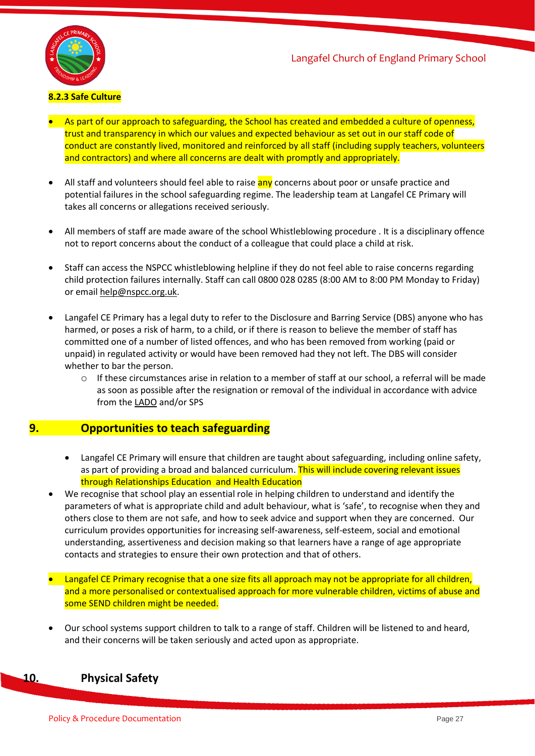

### **8.2.3 Safe Culture**

- As part of our approach to safeguarding, the School has created and embedded a culture of openness, trust and transparency in which our values and expected behaviour as set out in our staff code of conduct are constantly lived, monitored and reinforced by all staff (including supply teachers, volunteers and contractors) and where all concerns are dealt with promptly and appropriately.
- All staff and volunteers should feel able to raise any concerns about poor or unsafe practice and potential failures in the school safeguarding regime. The leadership team at Langafel CE Primary will takes all concerns or allegations received seriously.
- All members of staff are made aware of the school Whistleblowing procedure . It is a disciplinary offence not to report concerns about the conduct of a colleague that could place a child at risk.
- Staff can access the NSPCC whistleblowing helpline if they do not feel able to raise concerns regarding child protection failures internally. Staff can call 0800 028 0285 (8:00 AM to 8:00 PM Monday to Friday) or email [help@nspcc.org.uk.](mailto:help@nspcc.org.uk)
- Langafel CE Primary has a legal duty to refer to the Disclosure and Barring Service (DBS) anyone who has harmed, or poses a risk of harm, to a child, or if there is reason to believe the member of staff has committed one of a number of listed offences, and who has been removed from working (paid or unpaid) in regulated activity or would have been removed had they not left. The DBS will consider whether to bar the person.
	- $\circ$  If these circumstances arise in relation to a member of staff at our school, a referral will be made as soon as possible after the resignation or removal of the individual in accordance with advice from th[e LADO](https://www.kscmp.org.uk/procedures/local-authority-designated-officer-lado) and/or SPS

# **9. Opportunities to teach safeguarding**

- Langafel CE Primary will ensure that children are taught about safeguarding, including online safety, as part of providing a broad and balanced curriculum. This will include covering relevant issues through Relationships Education and Health Education
- We recognise that school play an essential role in helping children to understand and identify the parameters of what is appropriate child and adult behaviour, what is 'safe', to recognise when they and others close to them are not safe, and how to seek advice and support when they are concerned. Our curriculum provides opportunities for increasing self-awareness, self-esteem, social and emotional understanding, assertiveness and decision making so that learners have a range of age appropriate contacts and strategies to ensure their own protection and that of others.
- Langafel CE Primary recognise that a one size fits all approach may not be appropriate for all children, and a more personalised or contextualised approach for more vulnerable children, victims of abuse and some SEND children might be needed.
- Our school systems support children to talk to a range of staff. Children will be listened to and heard, and their concerns will be taken seriously and acted upon as appropriate.

# **10. Physical Safety**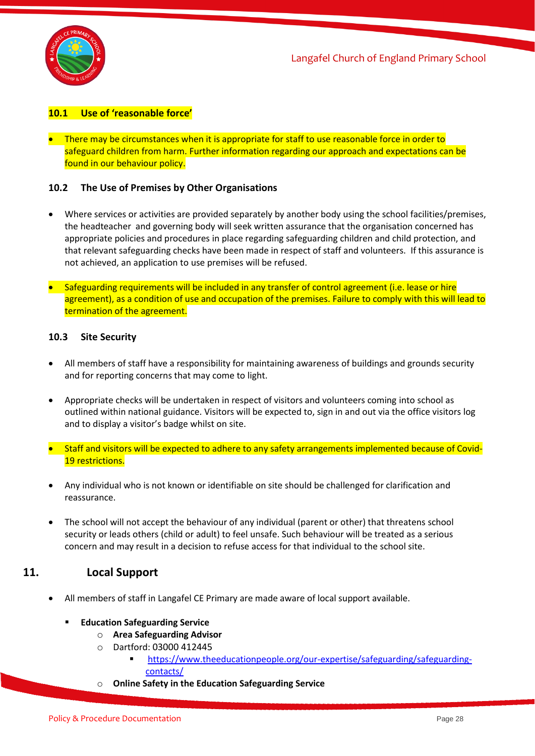

## **10.1 Use of 'reasonable force'**

• There may be circumstances when it is appropriate for staff to use reasonable force in order to safeguard children from harm. Further information regarding our approach and expectations can be found in our behaviour policy.

#### **10.2 The Use of Premises by Other Organisations**

- Where services or activities are provided separately by another body using the school facilities/premises, the headteacher and governing body will seek written assurance that the organisation concerned has appropriate policies and procedures in place regarding safeguarding children and child protection, and that relevant safeguarding checks have been made in respect of staff and volunteers. If this assurance is not achieved, an application to use premises will be refused.
- Safeguarding requirements will be included in any transfer of control agreement (i.e. lease or hire agreement), as a condition of use and occupation of the premises. Failure to comply with this will lead to termination of the agreement.

#### **10.3 Site Security**

- All members of staff have a responsibility for maintaining awareness of buildings and grounds security and for reporting concerns that may come to light.
- Appropriate checks will be undertaken in respect of visitors and volunteers coming into school as outlined within national guidance. Visitors will be expected to, sign in and out via the office visitors log and to display a visitor's badge whilst on site.
- Staff and visitors will be expected to adhere to any safety arrangements implemented because of Covid-19 restrictions.
- Any individual who is not known or identifiable on site should be challenged for clarification and reassurance.
- The school will not accept the behaviour of any individual (parent or other) that threatens school security or leads others (child or adult) to feel unsafe. Such behaviour will be treated as a serious concern and may result in a decision to refuse access for that individual to the school site.

# **11. Local Support**

- All members of staff in Langafel CE Primary are made aware of local support available.
	- **Education Safeguarding Service** 
		- o **Area Safeguarding Advisor**
		- o Dartford: 03000 412445
			- [https://www.theeducationpeople.org/our-expertise/safeguarding/safeguarding](https://www.theeducationpeople.org/our-expertise/safeguarding/safeguarding-contacts/)[contacts/](https://www.theeducationpeople.org/our-expertise/safeguarding/safeguarding-contacts/)
		- o **Online Safety in the Education Safeguarding Service**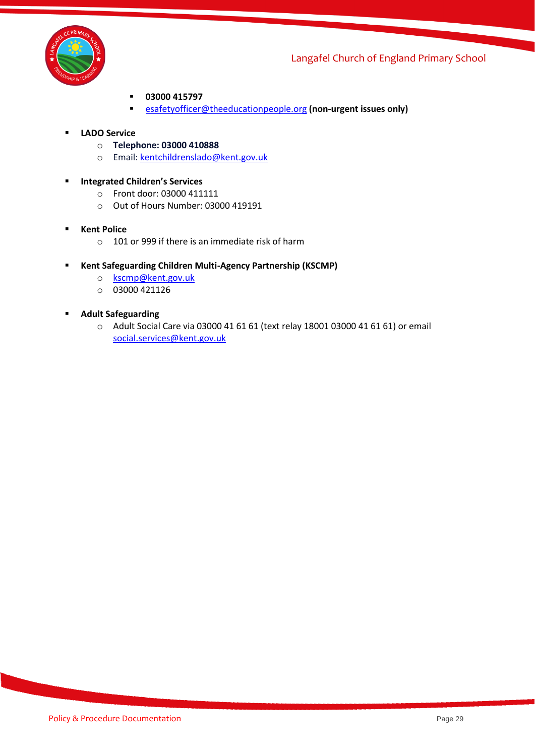

- **03000 415797**
- [esafetyofficer@theeducationpeople.org](mailto:esafetyofficer@theeducationpeople.org) **(non-urgent issues only)**
- **LADO Service**
	- o **Telephone: 03000 410888**
	- o Email: [kentchildrenslado@kent.gov.uk](mailto:kentchildrenslado@kent.gov.uk)
- **Integrated Children's Services** 
	- o Front door: 03000 411111
	- o Out of Hours Number: 03000 419191
- **Kent Police** 
	- $\circ$  101 or 999 if there is an immediate risk of harm
- **Kent Safeguarding Children Multi-Agency Partnership (KSCMP)**
	- o [kscmp@kent.gov.uk](mailto:kscmp@kent.gov.uk)
	- o 03000 421126
- **Adult Safeguarding**
	- o Adult Social Care via 03000 41 61 61 (text relay 18001 03000 41 61 61) or email [social.services@kent.gov.uk](mailto:social.services@kent.gov.uk)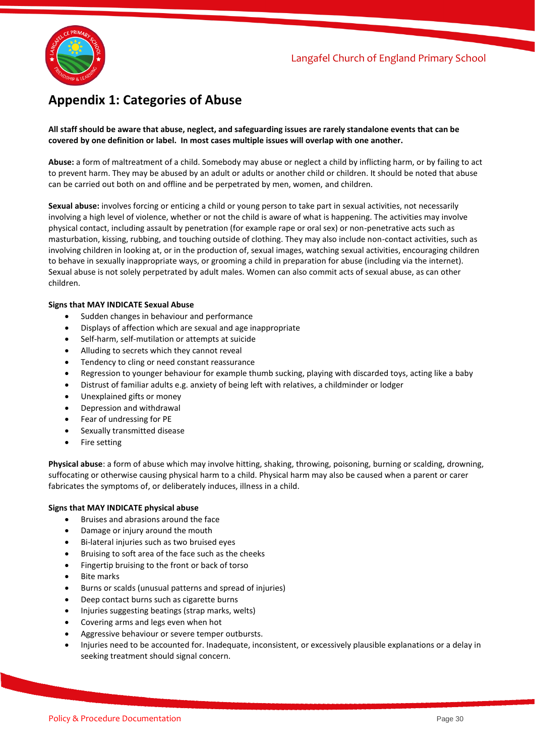

# **Appendix 1: Categories of Abuse**

#### **All staff should be aware that abuse, neglect, and safeguarding issues are rarely standalone events that can be covered by one definition or label. In most cases multiple issues will overlap with one another.**

**Abuse:** a form of maltreatment of a child. Somebody may abuse or neglect a child by inflicting harm, or by failing to act to prevent harm. They may be abused by an adult or adults or another child or children. It should be noted that abuse can be carried out both on and offline and be perpetrated by men, women, and children.

**Sexual abuse:** involves forcing or enticing a child or young person to take part in sexual activities, not necessarily involving a high level of violence, whether or not the child is aware of what is happening. The activities may involve physical contact, including assault by penetration (for example rape or oral sex) or non-penetrative acts such as masturbation, kissing, rubbing, and touching outside of clothing. They may also include non-contact activities, such as involving children in looking at, or in the production of, sexual images, watching sexual activities, encouraging children to behave in sexually inappropriate ways, or grooming a child in preparation for abuse (including via the internet). Sexual abuse is not solely perpetrated by adult males. Women can also commit acts of sexual abuse, as can other children.

#### **Signs that MAY INDICATE Sexual Abuse**

- Sudden changes in behaviour and performance
- Displays of affection which are sexual and age inappropriate
- Self-harm, self-mutilation or attempts at suicide
- Alluding to secrets which they cannot reveal
- Tendency to cling or need constant reassurance
- Regression to younger behaviour for example thumb sucking, playing with discarded toys, acting like a baby
- Distrust of familiar adults e.g. anxiety of being left with relatives, a childminder or lodger
- Unexplained gifts or money
- Depression and withdrawal
- Fear of undressing for PE
- Sexually transmitted disease
- Fire setting

**Physical abuse**: a form of abuse which may involve hitting, shaking, throwing, poisoning, burning or scalding, drowning, suffocating or otherwise causing physical harm to a child. Physical harm may also be caused when a parent or carer fabricates the symptoms of, or deliberately induces, illness in a child.

#### **Signs that MAY INDICATE physical abuse**

- Bruises and abrasions around the face
- Damage or injury around the mouth
- Bi-lateral injuries such as two bruised eyes
- Bruising to soft area of the face such as the cheeks
- Fingertip bruising to the front or back of torso
- **Bite marks**
- Burns or scalds (unusual patterns and spread of injuries)
- Deep contact burns such as cigarette burns
- Injuries suggesting beatings (strap marks, welts)
- Covering arms and legs even when hot
- Aggressive behaviour or severe temper outbursts.
- Injuries need to be accounted for. Inadequate, inconsistent, or excessively plausible explanations or a delay in seeking treatment should signal concern.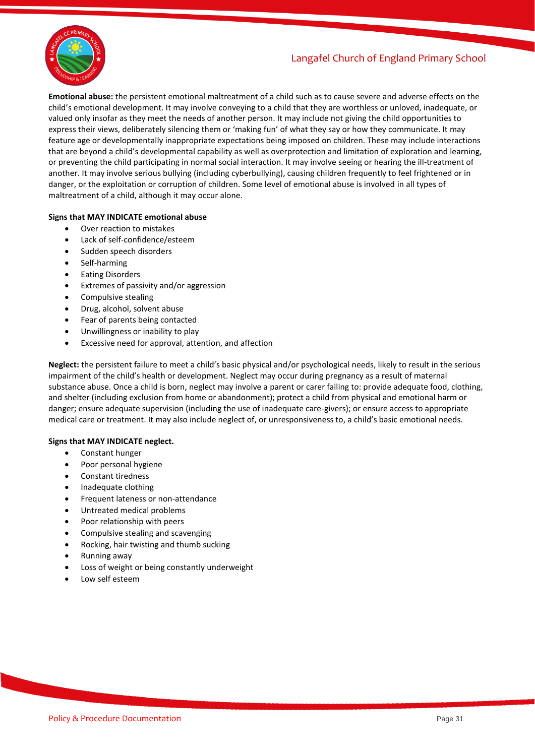

**Emotional abuse:** the persistent emotional maltreatment of a child such as to cause severe and adverse effects on the child's emotional development. It may involve conveying to a child that they are worthless or unloved, inadequate, or valued only insofar as they meet the needs of another person. It may include not giving the child opportunities to express their views, deliberately silencing them or 'making fun' of what they say or how they communicate. It may feature age or developmentally inappropriate expectations being imposed on children. These may include interactions that are beyond a child's developmental capability as well as overprotection and limitation of exploration and learning, or preventing the child participating in normal social interaction. It may involve seeing or hearing the ill-treatment of another. It may involve serious bullying (including cyberbullying), causing children frequently to feel frightened or in danger, or the exploitation or corruption of children. Some level of emotional abuse is involved in all types of maltreatment of a child, although it may occur alone.

#### **Signs that MAY INDICATE emotional abuse**

- Over reaction to mistakes
- Lack of self-confidence/esteem
- Sudden speech disorders
- Self-harming
- Eating Disorders
- Extremes of passivity and/or aggression
- Compulsive stealing
- Drug, alcohol, solvent abuse
- Fear of parents being contacted
- Unwillingness or inability to play
- Excessive need for approval, attention, and affection

**Neglect:** the persistent failure to meet a child's basic physical and/or psychological needs, likely to result in the serious impairment of the child's health or development. Neglect may occur during pregnancy as a result of maternal substance abuse. Once a child is born, neglect may involve a parent or carer failing to: provide adequate food, clothing, and shelter (including exclusion from home or abandonment); protect a child from physical and emotional harm or danger; ensure adequate supervision (including the use of inadequate care-givers); or ensure access to appropriate medical care or treatment. It may also include neglect of, or unresponsiveness to, a child's basic emotional needs.

#### **Signs that MAY INDICATE neglect.**

- Constant hunger
- Poor personal hygiene
- Constant tiredness
- Inadequate clothing
- Frequent lateness or non-attendance
- Untreated medical problems
- Poor relationship with peers
- Compulsive stealing and scavenging
- Rocking, hair twisting and thumb sucking
- Running away
- Loss of weight or being constantly underweight
- Low self esteem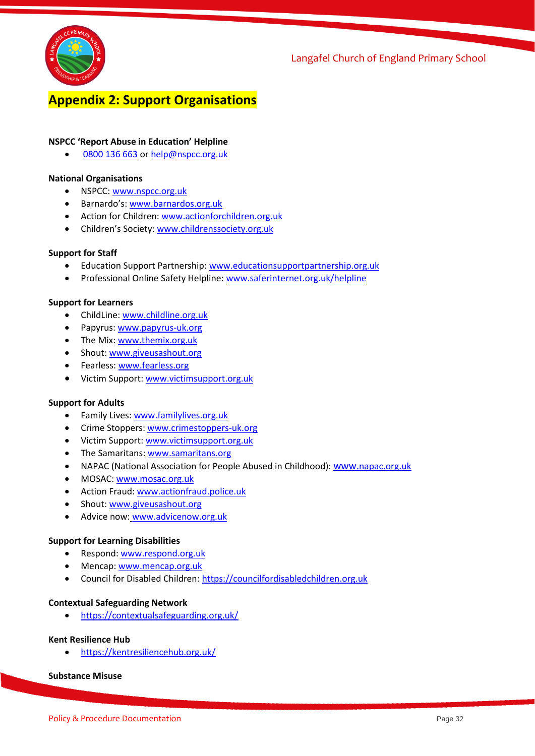

# **Appendix 2: Support Organisations**

#### **NSPCC 'Report Abuse in Education' Helpline**

[0800 136 663](tel:0800%20136%20663) or [help@nspcc.org.uk](mailto:help@nspcc.org.uk)

#### **National Organisations**

- NSPCC: [www.nspcc.org.uk](http://www.nspcc.org.uk/)
- Barnardo's: [www.barnardos.org.uk](http://www.barnardos.org.uk/)
- Action for Children: [www.actionforchildren.org.uk](http://www.actionforchildren.org.uk/)
- Children's Society: [www.childrenssociety.org.uk](http://www.childrenssociety.org.uk/)

#### **Support for Staff**

- Education Support Partnership[: www.educationsupportpartnership.org.uk](http://www.educationsupportpartnership.org.uk/)
- Professional Online Safety Helpline[: www.saferinternet.org.uk/helpline](http://www.saferinternet.org.uk/helpline)

#### **Support for Learners**

- ChildLine: [www.childline.org.uk](http://www.childline.org.uk/)
- Papyrus: [www.papyrus-uk.org](http://www.papyrus-uk.org/)
- The Mix: [www.themix.org.uk](http://www.themix.org.uk/)
- Shout[: www.giveusashout.org](http://www.giveusashout.org/)
- Fearless[: www.fearless.org](http://www.fearless.org/)
- Victim Support: [www.victimsupport.org.uk](http://www.victimsupport.org.uk/)

#### **Support for Adults**

- Family Lives: [www.familylives.org.uk](http://www.familylives.org.uk/)
- Crime Stoppers: [www.crimestoppers-uk.org](http://www.crimestoppers-uk.org/)
- Victim Support: [www.victimsupport.org.uk](http://www.victimsupport.org.uk/)
- The Samaritans: [www.samaritans.org](http://www.samaritans.org/)
- NAPAC (National Association for People Abused in Childhood): www.[napac.org.uk](https://napac.org.uk/)
- MOSAC[: www.mosac.org.uk](http://www.mosac.org.uk/)
- Action Fraud[: www.actionfraud.police.uk](http://www.actionfraud.police.uk/)
- Shout[: www.giveusashout.org](http://www.giveusashout.org/)
- Advice now: www.advicenow.org.uk

#### **Support for Learning Disabilities**

- Respond: [www.respond.org.uk](http://www.respond.org.uk/)
- Mencap: [www.mencap.org.uk](http://www.mencap.org.uk/)
- Council for Disabled Children: [https://councilfordisabledchildren.org.uk](https://councilfordisabledchildren.org.uk/)

#### **Contextual Safeguarding Network**

• <https://contextualsafeguarding.org.uk/>

#### **Kent Resilience Hub**

• <https://kentresiliencehub.org.uk/>

#### **Substance Misuse**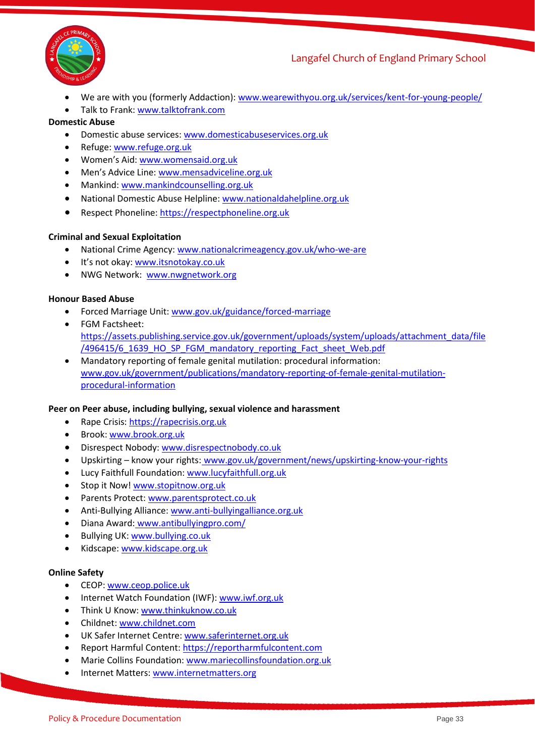

- We are with you (formerly Addaction): [www.wearewithyou.org.uk/services/kent-for-young-people/](http://www.wearewithyou.org.uk/services/kent-for-young-people/)
- Talk to Frank: [www.talktofrank.com](http://www.talktofrank.com/)

#### **Domestic Abuse**

- Domestic abuse services[: www.domesticabuseservices.org.uk](http://www.domesticabuseservices.org.uk/)
- Refuge[: www.refuge.org.uk](http://www.refuge.org.uk/)
- Women's Aid: [www.womensaid.org.uk](http://www.womensaid.org.uk/)
- Men's Advice Line: [www.mensadviceline.org.uk](http://www.mensadviceline.org.uk/)
- Mankind: [www.mankindcounselling.org.uk](http://www.mankindcounselling.org.uk/)
- National Domestic Abuse Helpline: [www.nationaldahelpline.org.uk](http://www.nationaldahelpline.org.uk/)
- Respect Phoneline: [https://respectphoneline.org.uk](https://respectphoneline.org.uk/)

#### **Criminal and Sexual Exploitation**

- National Crime Agency: [www.nationalcrimeagency.gov.uk/who-we-are](http://www.nationalcrimeagency.gov.uk/who-we-are)
- It's not okay: [www.itsnotokay.co.uk](http://www.itsnotokay.co.uk/)
- NWG Network: [www.nwgnetwork.org](http://www.nwgnetwork.org/)

#### **Honour Based Abuse**

- Forced Marriage Unit: [www.gov.uk/guidance/forced-marriage](http://www.gov.uk/guidance/forced-marriage)
- FGM Factsheet: [https://assets.publishing.service.gov.uk/government/uploads/system/uploads/attachment\\_data/file](https://assets.publishing.service.gov.uk/government/uploads/system/uploads/attachment_data/file/496415/6_1639_HO_SP_FGM_mandatory_reporting_Fact_sheet_Web.pdf) [/496415/6\\_1639\\_HO\\_SP\\_FGM\\_mandatory\\_reporting\\_Fact\\_sheet\\_Web.pdf](https://assets.publishing.service.gov.uk/government/uploads/system/uploads/attachment_data/file/496415/6_1639_HO_SP_FGM_mandatory_reporting_Fact_sheet_Web.pdf)
- Mandatory reporting of female genital mutilation: procedural information: [www.gov.uk/government/publications/mandatory-reporting-of-female-genital-mutilation](http://www.gov.uk/government/publications/mandatory-reporting-of-female-genital-mutilation-procedural-information)[procedural-information](http://www.gov.uk/government/publications/mandatory-reporting-of-female-genital-mutilation-procedural-information)

#### **Peer on Peer abuse, including bullying, sexual violence and harassment**

- Rape Crisis: [https://rapecrisis.org.uk](https://rapecrisis.org.uk/)
- Brook: [www.brook.org.uk](http://www.brook.org.uk/)
- Disrespect Nobody: [www.disrespectnobody.co.uk](http://www.disrespectnobody.co.uk/)
- Upskirting know your rights: [www.gov.uk/government/news/upskirting-know-your-rights](http://www.gov.uk/government/news/upskirting-know-your-rights)
- Lucy Faithfull Foundation: [www.lucyfaithfull.org.uk](http://www.lucyfaithfull.org.uk/)
- Stop it Now! [www.stopitnow.org.uk](http://www.stopitnow.org.uk/)
- Parents Protect[: www.parentsprotect.co.uk](http://www.parentsprotect.co.uk/)
- Anti-Bullying Alliance: [www.anti-bullyingalliance.org.uk](http://www.anti-bullyingalliance.org.uk/)
- Diana Award: [www.antibullyingpro.com/](http://www.antibullyingpro.com/)
- Bullying UK: [www.bullying.co.uk](http://www.bullying.co.uk/)
- Kidscape: [www.kidscape.org.uk](http://www.kidscape.org.uk/)

#### **Online Safety**

- CEOP[: www.ceop.police.uk](http://www.ceop.police.uk/)
- Internet Watch Foundation (IWF): [www.iwf.org.uk](http://www.iwf.org.uk/)
- Think U Know: [www.thinkuknow.co.uk](http://www.thinkuknow.co.uk/)
- Childnet: [www.childnet.com](http://www.childnet.com/)
- UK Safer Internet Centre: [www.saferinternet.org.uk](http://www.saferinternet.org.uk/)
- Report Harmful Content[: https://reportharmfulcontent.com](https://reportharmfulcontent.com/)
- Marie Collins Foundation[: www.mariecollinsfoundation.org.uk](http://www.mariecollinsfoundation.org.uk/)
- Internet Matters: [www.internetmatters.org](http://www.internetmatters.org/)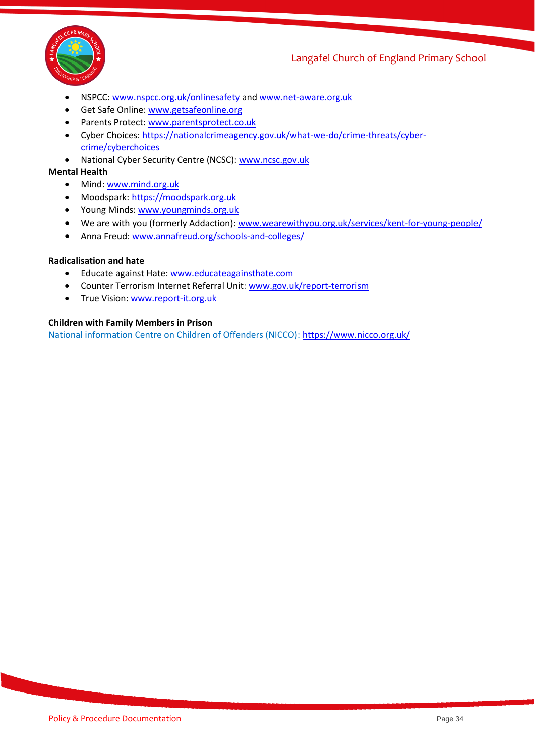

- NSPCC: [www.nspcc.org.uk/onlinesafety](http://www.nspcc.org.uk/onlinesafety) an[d www.net-aware.org.uk](http://www.net-aware.org.uk/)
- Get Safe Online: [www.getsafeonline.org](https://www.getsafeonline.org/)
- Parents Protect[: www.parentsprotect.co.uk](http://www.parentsprotect.co.uk/)
- Cyber Choices: [https://nationalcrimeagency.gov.uk/what-we-do/crime-threats/cyber](https://nationalcrimeagency.gov.uk/what-we-do/crime-threats/cyber-crime/cyberchoices)[crime/cyberchoices](https://nationalcrimeagency.gov.uk/what-we-do/crime-threats/cyber-crime/cyberchoices)
- National Cyber Security Centre (NCSC): [www.ncsc.gov.uk](http://www.ncsc.gov.uk/)

#### **Mental Health**

- Mind: [www.mind.org.uk](http://www.mind.org.uk/)
- Moodspark: [https://moodspark.org.uk](https://moodspark.org.uk/)
- Young Minds[: www.youngminds.org.uk](http://www.youngminds.org.uk/)
- We are with you (formerly Addaction): [www.wearewithyou.org.uk/services/kent-for-young-people/](http://www.wearewithyou.org.uk/services/kent-for-young-people/)
- Anna Freud: [www.annafreud.org/schools-and-colleges/](http://www.annafreud.org/schools-and-colleges/)

#### **Radicalisation and hate**

- Educate against Hate[: www.educateagainsthate.com](http://www.educateagainsthate.com/)
- Counter Terrorism Internet Referral Unit: [www.gov.uk/report-terrorism](http://www.gov.uk/report-terrorism)
- True Vision[: www.report-it.org.uk](http://www.report-it.org.uk/)

#### **Children with Family Members in Prison**

National information Centre on Children of Offenders (NICCO)[: https://www.nicco.org.uk/](https://www.nicco.org.uk/)